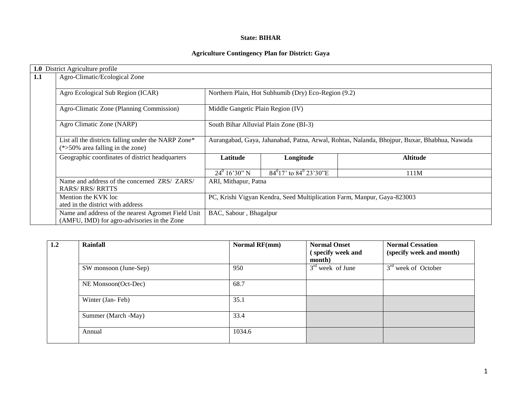### **State: BIHAR**

# **Agriculture Contingency Plan for District: Gaya**

|     | 1.0 District Agriculture profile                                                                  |                                                                         |                                                     |                                                                                             |  |  |  |  |
|-----|---------------------------------------------------------------------------------------------------|-------------------------------------------------------------------------|-----------------------------------------------------|---------------------------------------------------------------------------------------------|--|--|--|--|
| 1.1 | Agro-Climatic/Ecological Zone                                                                     |                                                                         |                                                     |                                                                                             |  |  |  |  |
|     |                                                                                                   |                                                                         |                                                     |                                                                                             |  |  |  |  |
|     | Agro Ecological Sub Region (ICAR)                                                                 |                                                                         | Northern Plain, Hot Subhumib (Dry) Eco-Region (9.2) |                                                                                             |  |  |  |  |
|     | Agro-Climatic Zone (Planning Commission)                                                          | Middle Gangetic Plain Region (IV)                                       |                                                     |                                                                                             |  |  |  |  |
|     | Agro Climatic Zone (NARP)                                                                         | South Bihar Alluvial Plain Zone (BI-3)                                  |                                                     |                                                                                             |  |  |  |  |
|     |                                                                                                   |                                                                         |                                                     |                                                                                             |  |  |  |  |
|     | List all the districts falling under the NARP Zone*<br>$(*>50\%$ area falling in the zone)        |                                                                         |                                                     | Aurangabad, Gaya, Jahanabad, Patna, Arwal, Rohtas, Nalanda, Bhojpur, Buxar, Bhabhua, Nawada |  |  |  |  |
|     | Geographic coordinates of district headquarters                                                   | Latitude                                                                | Longitude                                           | <b>Altitude</b>                                                                             |  |  |  |  |
|     |                                                                                                   | $24^0$ 16'30" N                                                         | $84^{0}17'$ to $84^{0}23'30''E$                     | 111M                                                                                        |  |  |  |  |
|     | Name and address of the concerned ZRS/ ZARS/<br><b>RARS/ RRS/ RRTTS</b>                           | ARI, Mithapur, Patna                                                    |                                                     |                                                                                             |  |  |  |  |
|     | Mention the KVK loc<br>ated in the district with address                                          | PC, Krishi Vigyan Kendra, Seed Multiplication Farm, Manpur, Gaya-823003 |                                                     |                                                                                             |  |  |  |  |
|     | Name and address of the nearest Agromet Field Unit<br>(AMFU, IMD) for agro-advisories in the Zone | BAC, Sabour, Bhagalpur                                                  |                                                     |                                                                                             |  |  |  |  |

| 1.2 | <b>Rainfall</b>       | Normal RF(mm) | <b>Normal Onset</b><br>specify week and | <b>Normal Cessation</b><br>(specify week and month) |
|-----|-----------------------|---------------|-----------------------------------------|-----------------------------------------------------|
|     |                       |               | month)                                  |                                                     |
|     | SW monsoon (June-Sep) | 950           | $3rd$ week of June                      | $3rd$ week of October                               |
|     | NE Monsoon(Oct-Dec)   | 68.7          |                                         |                                                     |
|     | Winter (Jan-Feb)      | 35.1          |                                         |                                                     |
|     | Summer (March -May)   | 33.4          |                                         |                                                     |
|     | Annual                | 1034.6        |                                         |                                                     |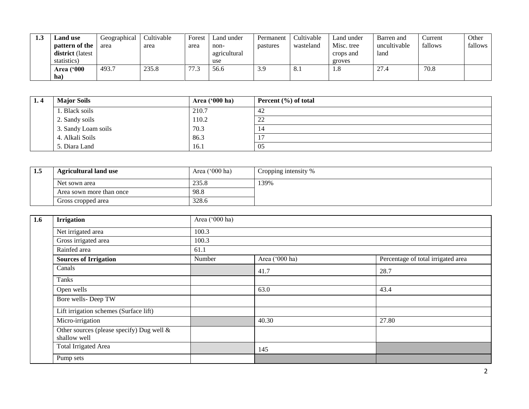| 1.3 | <b>Land use</b>         | Geographical | Cultivable | Forest     | Land under   | Permanent | Cultivable | Land under | Barren and   | ∠urrent | Other   |
|-----|-------------------------|--------------|------------|------------|--------------|-----------|------------|------------|--------------|---------|---------|
|     | pattern of the          | area         | area       | area       | non-         | pastures  | wasteland  | Misc. tree | uncultivable | fallows | fallows |
|     | <b>district</b> (latest |              |            |            | agricultural |           |            | crops and  | land         |         |         |
|     | statistics)             |              |            |            | use          |           |            | groves     |              |         |         |
|     | <b>Area</b> ('000       | 493.7        | 235.8      | 77<br>ل. ۱ | 56.6         | 3.9       | 8.1        | 1.0        | ^7<br>21.4   | 70.8    |         |
|     | ha                      |              |            |            |              |           |            |            |              |         |         |

| 1.4 | <b>Major Soils</b>  | Area $('000 ha)$ | Percent $(\% )$ of total |
|-----|---------------------|------------------|--------------------------|
|     | 1. Black soils      | 210.7            | 42                       |
|     | 2. Sandy soils      | 110.2            | $\gamma$<br>∠∠           |
|     | 3. Sandy Loam soils | 70.3             | 14                       |
|     | 4. Alkali Soils     | 86.3             | <b>T</b> 1               |
|     | 5. Diara Land       | 16.1             | 05                       |

| 1.5 | <b>Agricultural land use</b> | Area $('000 ha)$ | Cropping intensity % |
|-----|------------------------------|------------------|----------------------|
|     | Net sown area                | 235.8            | 139%                 |
|     | Area sown more than once     | 98.8             |                      |
|     | Gross cropped area           | 328.6            |                      |

| 1.6 | <b>Irrigation</b>                                            | Area ('000 ha) |                |                                    |  |  |  |  |  |
|-----|--------------------------------------------------------------|----------------|----------------|------------------------------------|--|--|--|--|--|
|     | Net irrigated area                                           | 100.3          |                |                                    |  |  |  |  |  |
|     | Gross irrigated area                                         | 100.3          |                |                                    |  |  |  |  |  |
|     | Rainfed area                                                 | 61.1           |                |                                    |  |  |  |  |  |
|     | <b>Sources of Irrigation</b>                                 | Number         | Area ('000 ha) | Percentage of total irrigated area |  |  |  |  |  |
|     | Canals                                                       |                | 41.7           | 28.7                               |  |  |  |  |  |
|     | Tanks                                                        |                |                |                                    |  |  |  |  |  |
|     | Open wells                                                   |                | 63.0           | 43.4                               |  |  |  |  |  |
|     | Bore wells-Deep TW                                           |                |                |                                    |  |  |  |  |  |
|     | Lift irrigation schemes (Surface lift)                       |                |                |                                    |  |  |  |  |  |
|     | Micro-irrigation                                             |                | 40.30          | 27.80                              |  |  |  |  |  |
|     | Other sources (please specify) Dug well $\&$<br>shallow well |                |                |                                    |  |  |  |  |  |
|     | <b>Total Irrigated Area</b>                                  |                | 145            |                                    |  |  |  |  |  |
|     | Pump sets                                                    |                |                |                                    |  |  |  |  |  |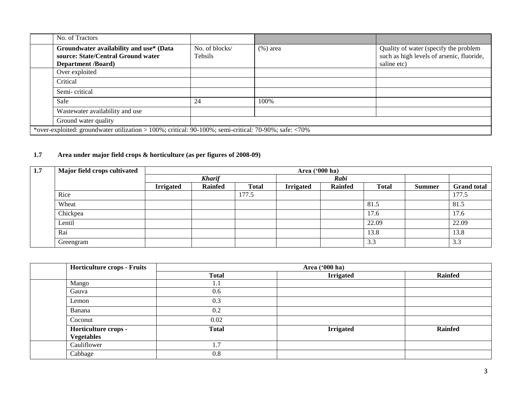| No. of Tractors                                                                                            |                           |             |                                                                                                   |
|------------------------------------------------------------------------------------------------------------|---------------------------|-------------|---------------------------------------------------------------------------------------------------|
| Groundwater availability and use* (Data<br>source: State/Central Ground water<br><b>Department /Board)</b> | No. of blocks/<br>Tehsils | $(\%)$ area | Quality of water (specify the problem<br>such as high levels of arsenic, fluoride,<br>saline etc) |
| Over exploited                                                                                             |                           |             |                                                                                                   |
| Critical                                                                                                   |                           |             |                                                                                                   |
| Semi-critical                                                                                              |                           |             |                                                                                                   |
| Safe                                                                                                       | 24                        | 100%        |                                                                                                   |
| Wastewater availability and use                                                                            |                           |             |                                                                                                   |
| Ground water quality                                                                                       |                           |             |                                                                                                   |
| *over-exploited: groundwater utilization > 100%; critical: 90-100%; semi-critical: 70-90%; safe: <70%      |                           |             |                                                                                                   |

# **1.7 Area under major field crops & horticulture (as per figures of 2008-09)**

| 1.7 | Major field crops cultivated |                  | Area ('000 ha) |              |                  |                |              |               |                      |
|-----|------------------------------|------------------|----------------|--------------|------------------|----------------|--------------|---------------|----------------------|
|     |                              |                  | <b>Kharif</b>  |              | Rabi             |                |              |               |                      |
|     |                              | <b>Irrigated</b> | <b>Rainfed</b> | <b>Total</b> | <b>Irrigated</b> | <b>Rainfed</b> | <b>Total</b> | <b>Summer</b> | <b>Grand</b> total   |
|     | Rice                         |                  |                | 177.5        |                  |                |              |               | 177.5                |
|     | Wheat                        |                  |                |              |                  |                | 81.5         |               | 81.5                 |
|     | Chickpea                     |                  |                |              |                  |                | 17.6         |               | 17.6                 |
|     | Lentil                       |                  |                |              |                  |                | 22.09        |               | 22.09                |
|     | Rai                          |                  |                |              |                  |                | 13.8         |               | 13.8                 |
|     | Greengram                    |                  |                |              |                  |                | 3.3          |               | $\sim$ $\sim$<br>3.3 |

| <b>Horticulture crops - Fruits</b> | Area ('000 ha) |                  |                |  |  |  |
|------------------------------------|----------------|------------------|----------------|--|--|--|
|                                    | <b>Total</b>   | <b>Irrigated</b> | <b>Rainfed</b> |  |  |  |
| Mango                              | I.I            |                  |                |  |  |  |
| Gauva                              | 0.6            |                  |                |  |  |  |
| Lemon                              | 0.3            |                  |                |  |  |  |
| Banana                             | 0.2            |                  |                |  |  |  |
| Coconut                            | 0.02           |                  |                |  |  |  |
| Horticulture crops -               | <b>Total</b>   | <b>Irrigated</b> | <b>Rainfed</b> |  |  |  |
| <b>Vegetables</b>                  |                |                  |                |  |  |  |
| Cauliflower                        | 1.7            |                  |                |  |  |  |
| Cabbage                            | 0.8            |                  |                |  |  |  |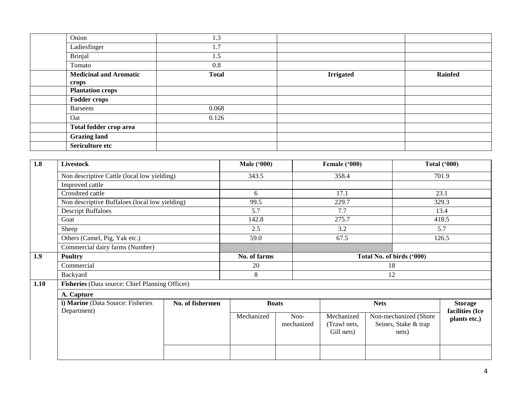| Onion                         | 1.3          |                  |                |
|-------------------------------|--------------|------------------|----------------|
| Ladiesfinger                  | 1.7          |                  |                |
| <b>Brinjal</b>                | 1.5          |                  |                |
| Tomato                        | 0.8          |                  |                |
| <b>Medicinal and Aromatic</b> | <b>Total</b> | <b>Irrigated</b> | <b>Rainfed</b> |
| crops                         |              |                  |                |
| <b>Plantation crops</b>       |              |                  |                |
| <b>Fodder crops</b>           |              |                  |                |
| Barseem                       | 0.068        |                  |                |
| Oat                           | 0.126        |                  |                |
| Total fodder crop area        |              |                  |                |
| <b>Grazing land</b>           |              |                  |                |
| Sericulture etc               |              |                  |                |

| 1.8  | Livestock                                        |                  | <b>Male ('000)</b> |                    | Female ('000)                            |                                                        | Total $(900)$                     |  |
|------|--------------------------------------------------|------------------|--------------------|--------------------|------------------------------------------|--------------------------------------------------------|-----------------------------------|--|
|      | Non descriptive Cattle (local low yielding)      |                  | 343.5              |                    | 358.4                                    |                                                        | 701.9                             |  |
|      | Improved cattle                                  |                  |                    |                    |                                          |                                                        |                                   |  |
|      | Crossbred cattle                                 |                  | 6                  |                    | 17.1                                     |                                                        | 23.1                              |  |
|      | Non descriptive Buffaloes (local low yielding)   |                  | 99.5               |                    | 229.7                                    |                                                        | 329.3                             |  |
|      | <b>Descript Buffaloes</b>                        |                  | 5.7                |                    | 7.7                                      |                                                        | 13.4                              |  |
|      | Goat                                             |                  | 142.8              |                    | 275.7                                    |                                                        | 418.5                             |  |
|      | Sheep                                            |                  | 2.5                |                    | 3.2                                      |                                                        | 5.7                               |  |
|      | Others (Camel, Pig, Yak etc.)                    |                  | 59.0               |                    | 67.5                                     |                                                        | 126.5                             |  |
|      | Commercial dairy farms (Number)                  |                  |                    |                    |                                          |                                                        |                                   |  |
| 1.9  | <b>Poultry</b>                                   |                  | No. of farms       |                    | Total No. of birds ('000)                |                                                        |                                   |  |
|      | Commercial                                       |                  | 20                 |                    | 18                                       |                                                        |                                   |  |
|      | Backyard                                         |                  | 8                  |                    |                                          | 12                                                     |                                   |  |
| 1.10 | Fisheries (Data source: Chief Planning Officer)  |                  |                    |                    |                                          |                                                        |                                   |  |
|      | A. Capture                                       |                  |                    |                    |                                          |                                                        |                                   |  |
|      | i) Marine (Data Source: Fisheries<br>Department) | No. of fishermen |                    | <b>Boats</b>       |                                          | <b>Nets</b>                                            | <b>Storage</b><br>facilities (Ice |  |
|      |                                                  |                  | Mechanized         | Non-<br>mechanized | Mechanized<br>(Trawl nets,<br>Gill nets) | Non-mechanized (Shore<br>Seines, Stake & trap<br>nets) | plants etc.)                      |  |
|      |                                                  |                  |                    |                    |                                          |                                                        |                                   |  |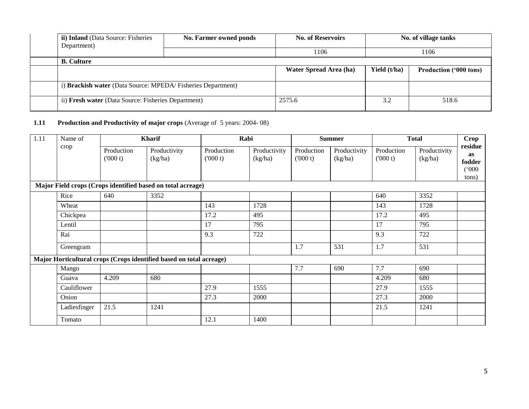| <b>ii) Inland</b> (Data Source: Fisheries<br>Department)    | No. Farmer owned ponds | <b>No. of Reservoirs</b> |              | No. of village tanks          |
|-------------------------------------------------------------|------------------------|--------------------------|--------------|-------------------------------|
|                                                             |                        | 1106                     |              | 1106                          |
| <b>B.</b> Culture                                           |                        |                          |              |                               |
|                                                             |                        | Water Spread Area (ha)   | Yield (t/ha) | <b>Production ('000 tons)</b> |
| i) Brackish water (Data Source: MPEDA/Fisheries Department) |                        |                          |              |                               |
| ii) Fresh water (Data Source: Fisheries Department)         |                        | 2575.6                   | 3.2          | 518.6                         |

# **1.11** Production and Productivity of major crops (Average of 5 years: 2004-08)

| 1.11 | Name of      |                       | <b>Kharif</b>                                                       | Rabi                  |                         |                       | <b>Summer</b>           |                       | <b>Total</b>            | Crop                                             |
|------|--------------|-----------------------|---------------------------------------------------------------------|-----------------------|-------------------------|-----------------------|-------------------------|-----------------------|-------------------------|--------------------------------------------------|
|      | crop         | Production<br>(000 t) | Productivity<br>(kg/ha)                                             | Production<br>(000 t) | Productivity<br>(kg/ha) | Production<br>(000 t) | Productivity<br>(kg/ha) | Production<br>(000 t) | Productivity<br>(kg/ha) | residue<br><b>as</b><br>fodder<br>(000)<br>tons) |
|      |              |                       | Major Field crops (Crops identified based on total acreage)         |                       |                         |                       |                         |                       |                         |                                                  |
|      | Rice         | 640                   | 3352                                                                |                       |                         |                       |                         | 640                   | 3352                    |                                                  |
|      | Wheat        |                       |                                                                     | 143                   | 1728                    |                       |                         | 143                   | 1728                    |                                                  |
|      | Chickpea     |                       |                                                                     | 17.2                  | 495                     |                       |                         | 17.2                  | 495                     |                                                  |
|      | Lentil       |                       |                                                                     | 17                    | 795                     |                       |                         | 17                    | 795                     |                                                  |
|      | Rai          |                       |                                                                     | 9.3                   | 722                     |                       |                         | 9.3                   | 722                     |                                                  |
|      | Greengram    |                       |                                                                     |                       |                         | 1.7                   | 531                     | 1.7                   | 531                     |                                                  |
|      |              |                       | Major Horticultural crops (Crops identified based on total acreage) |                       |                         |                       |                         |                       |                         |                                                  |
|      | Mango        |                       |                                                                     |                       |                         | 7.7                   | 690                     | 7.7                   | 690                     |                                                  |
|      | Guava        | 4.209                 | 680                                                                 |                       |                         |                       |                         | 4.209                 | 680                     |                                                  |
|      | Cauliflower  |                       |                                                                     | 27.9                  | 1555                    |                       |                         | 27.9                  | 1555                    |                                                  |
|      | Onion        |                       |                                                                     | 27.3                  | 2000                    |                       |                         | 27.3                  | 2000                    |                                                  |
|      | Ladiesfinger | 21.5                  | 1241                                                                |                       |                         |                       |                         | 21.5                  | 1241                    |                                                  |
|      | Tomato       |                       |                                                                     | 12.1                  | 1400                    |                       |                         |                       |                         |                                                  |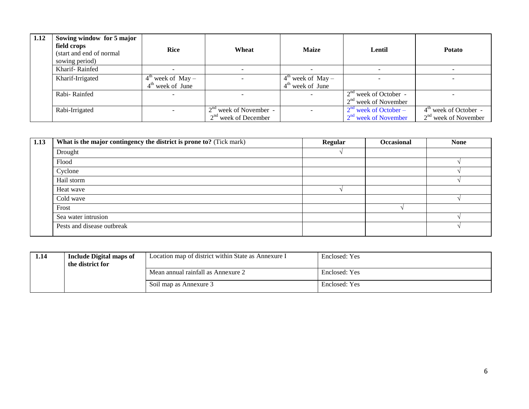| 1.12 | Sowing window for 5 major<br>field crops<br>(start and end of normal)<br>sowing period) | <b>Rice</b>                                         | Wheat                                              | <b>Maize</b>                                        | Lentil                                                      | <b>Potato</b>                                     |
|------|-----------------------------------------------------------------------------------------|-----------------------------------------------------|----------------------------------------------------|-----------------------------------------------------|-------------------------------------------------------------|---------------------------------------------------|
|      | Kharif-Rainfed                                                                          |                                                     |                                                    |                                                     |                                                             |                                                   |
|      | Kharif-Irrigated                                                                        | $4^{\text{th}}$ week of May –<br>$4th$ week of June |                                                    | $4^{\text{th}}$ week of May –<br>$4th$ week of June |                                                             |                                                   |
|      | Rabi-Rainfed                                                                            |                                                     |                                                    |                                                     | $2nd$ week of October -<br>$2nd$ week of November           |                                                   |
|      | Rabi-Irrigated                                                                          |                                                     | $2nd$ week of November -<br>$2nd$ week of December |                                                     | $2nd$ week of October –<br>2 <sup>nd</sup> week of November | $4th$ week of October -<br>$2nd$ week of November |

| 1.13 | What is the major contingency the district is prone to? (Tick mark) | <b>Regular</b> | <b>Occasional</b> | <b>None</b> |
|------|---------------------------------------------------------------------|----------------|-------------------|-------------|
|      | Drought                                                             |                |                   |             |
|      | Flood                                                               |                |                   |             |
|      | Cyclone                                                             |                |                   |             |
|      | Hail storm                                                          |                |                   |             |
|      | Heat wave                                                           |                |                   |             |
|      | Cold wave                                                           |                |                   |             |
|      | Frost                                                               |                |                   |             |
|      | Sea water intrusion                                                 |                |                   |             |
|      | Pests and disease outbreak                                          |                |                   |             |

| 1.14 | <b>Include Digital maps of</b><br>the district for | Location map of district within State as Annexure I | Enclosed: Yes |
|------|----------------------------------------------------|-----------------------------------------------------|---------------|
|      |                                                    | Mean annual rainfall as Annexure 2                  | Enclosed: Yes |
|      |                                                    | Soil map as Annexure 3                              | Enclosed: Yes |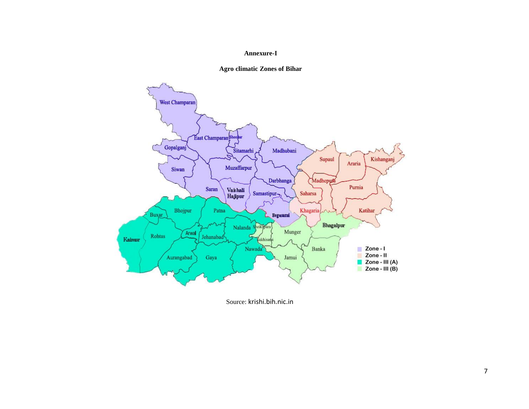#### **Annexure-I**





Source: krishi.bih.nic.in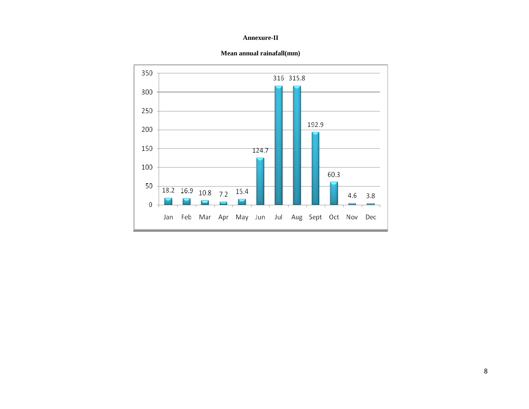#### **Annexure-II**



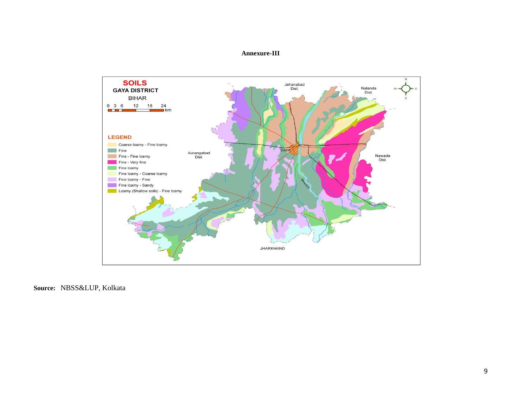### **Annexure-III**



**Source:** NBSS&LUP, Kolkata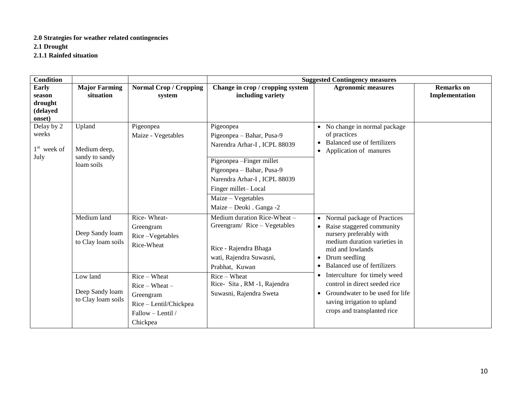# **2.0 Strategies for weather related contingencies**

**2.1 Drought**

**2.1.1 Rainfed situation**

| <b>Condition</b>                                        |                                                                                                           |                                                                                                                                    |                                                                                                                                                                                                                                           | <b>Suggested Contingency measures</b>                                                                                                                                                                                                                                                                                                                                      |                                     |
|---------------------------------------------------------|-----------------------------------------------------------------------------------------------------------|------------------------------------------------------------------------------------------------------------------------------------|-------------------------------------------------------------------------------------------------------------------------------------------------------------------------------------------------------------------------------------------|----------------------------------------------------------------------------------------------------------------------------------------------------------------------------------------------------------------------------------------------------------------------------------------------------------------------------------------------------------------------------|-------------------------------------|
| <b>Early</b><br>season<br>drought<br>(delayed<br>onset) | <b>Major Farming</b><br>situation                                                                         | <b>Normal Crop / Cropping</b><br>system                                                                                            | Change in crop / cropping system<br>including variety                                                                                                                                                                                     | <b>Agronomic measures</b>                                                                                                                                                                                                                                                                                                                                                  | <b>Remarks</b> on<br>Implementation |
| Delay by 2<br>weeks<br>$1st$ week of<br>July            | Upland<br>Medium deep,<br>sandy to sandy<br>loam soils                                                    | Pigeonpea<br>Maize - Vegetables                                                                                                    | Pigeonpea<br>Pigeonpea - Bahar, Pusa-9<br>Narendra Arhar-I, ICPL 88039<br>Pigeonpea - Finger millet<br>Pigeonpea - Bahar, Pusa-9<br>Narendra Arhar-I, ICPL 88039<br>Finger millet-Local<br>Maize - Vegetables<br>Maize - Deoki . Ganga -2 | • No change in normal package<br>of practices<br>Balanced use of fertilizers<br>• Application of manures                                                                                                                                                                                                                                                                   |                                     |
|                                                         | Medium land<br>Deep Sandy loam<br>to Clay loam soils<br>Low land<br>Deep Sandy loam<br>to Clay loam soils | Rice-Wheat-<br>Greengram<br>Rice-Vegetables<br>Rice-Wheat<br>Rice - Wheat<br>$Rice-Wheat$ –<br>Greengram<br>Rice - Lentil/Chickpea | Medium duration Rice-Wheat -<br>Greengram/Rice-Vegetables<br>Rice - Rajendra Bhaga<br>wati, Rajendra Suwasni,<br>Prabhat, Kuwan<br>Rice - Wheat<br>Rice-Sita, RM -1, Rajendra<br>Suwasni, Rajendra Sweta                                  | • Normal package of Practices<br>Raise staggered community<br>nursery preferably with<br>medium duration varieties in<br>mid and lowlands<br>Drum seedling<br>Balanced use of fertilizers<br>$\bullet$<br>• Interculture for timely weed<br>control in direct seeded rice<br>Groundwater to be used for life<br>saving irrigation to upland<br>crops and transplanted rice |                                     |
|                                                         |                                                                                                           | Fallow - Lentil /<br>Chickpea                                                                                                      |                                                                                                                                                                                                                                           |                                                                                                                                                                                                                                                                                                                                                                            |                                     |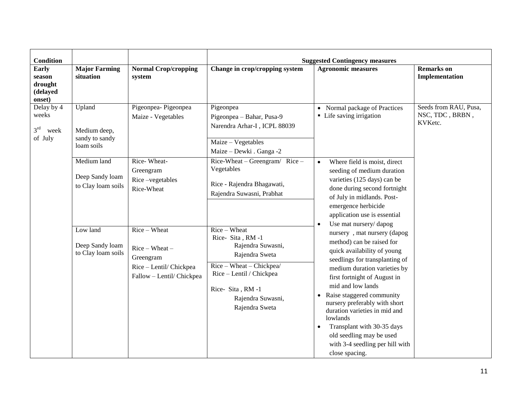| <b>Condition</b>                                        |                                                        |                                                                                                     |                                                                                                                                                                                            | <b>Suggested Contingency measures</b>                                                                                                                                                                                                                                                                                                                                                                                                                                                       |                                                     |  |
|---------------------------------------------------------|--------------------------------------------------------|-----------------------------------------------------------------------------------------------------|--------------------------------------------------------------------------------------------------------------------------------------------------------------------------------------------|---------------------------------------------------------------------------------------------------------------------------------------------------------------------------------------------------------------------------------------------------------------------------------------------------------------------------------------------------------------------------------------------------------------------------------------------------------------------------------------------|-----------------------------------------------------|--|
| <b>Early</b><br>season<br>drought<br>(delayed<br>onset) | <b>Major Farming</b><br>situation                      | <b>Normal Crop/cropping</b><br>system                                                               | Change in crop/cropping system                                                                                                                                                             | <b>Agronomic measures</b>                                                                                                                                                                                                                                                                                                                                                                                                                                                                   | <b>Remarks</b> on<br>Implementation                 |  |
| Delay by 4<br>weeks<br>$3^{rd}$<br>week<br>of July      | Upland<br>Medium deep,<br>sandy to sandy<br>loam soils | Pigeonpea-Pigeonpea<br>Maize - Vegetables                                                           | Pigeonpea<br>Pigeonpea - Bahar, Pusa-9<br>Narendra Arhar-I, ICPL 88039<br>Maize - Vegetables<br>Maize - Dewki . Ganga -2                                                                   | • Normal package of Practices<br>• Life saving irrigation                                                                                                                                                                                                                                                                                                                                                                                                                                   | Seeds from RAU, Pusa,<br>NSC, TDC, BRBN,<br>KVKetc. |  |
|                                                         | Medium land<br>Deep Sandy loam<br>to Clay loam soils   | Rice-Wheat-<br>Greengram<br>Rice-vegetables<br>Rice-Wheat                                           | $Rice-Wheat-Greengram/ Rice -$<br>Vegetables<br>Rice - Rajendra Bhagawati,<br>Rajendra Suwasni, Prabhat                                                                                    | Where field is moist, direct<br>seeding of medium duration<br>varieties (125 days) can be<br>done during second fortnight<br>of July in midlands. Post-<br>emergence herbicide<br>application use is essential                                                                                                                                                                                                                                                                              |                                                     |  |
|                                                         | Low land<br>Deep Sandy loam<br>to Clay loam soils      | Rice - Wheat<br>$Rice-Wheat$ –<br>Greengram<br>Rice - Lentil/ Chickpea<br>Fallow - Lentil/ Chickpea | $Rice - Wheat$<br>Rice-Sita, RM-1<br>Rajendra Suwasni,<br>Rajendra Sweta<br>Rice - Wheat - Chickpea/<br>Rice - Lentil / Chickpea<br>Rice-Sita, RM-1<br>Rajendra Suwasni,<br>Rajendra Sweta | Use mat nursery/dapog<br>$\bullet$<br>nursery, mat nursery (dapog<br>method) can be raised for<br>quick availability of young<br>seedlings for transplanting of<br>medium duration varieties by<br>first fortnight of August in<br>mid and low lands<br>Raise staggered community<br>nursery preferably with short<br>duration varieties in mid and<br>lowlands<br>Transplant with 30-35 days<br>$\bullet$<br>old seedling may be used<br>with 3-4 seedling per hill with<br>close spacing. |                                                     |  |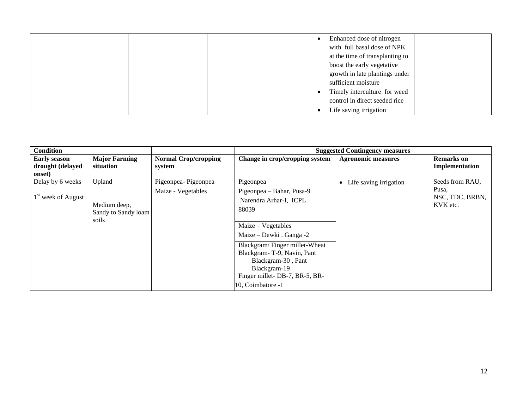|  |  | Enhanced dose of nitrogen       |  |
|--|--|---------------------------------|--|
|  |  | with full basal dose of NPK     |  |
|  |  | at the time of transplanting to |  |
|  |  | boost the early vegetative      |  |
|  |  | growth in late plantings under  |  |
|  |  | sufficient moisture             |  |
|  |  | Timely interculture for weed    |  |
|  |  | control in direct seeded rice   |  |
|  |  | Life saving irrigation          |  |

| <b>Condition</b>                                  |                                                        |                                           |                                                                                                                                                                                                                                                                                          | <b>Suggested Contingency measures</b> |                                                         |
|---------------------------------------------------|--------------------------------------------------------|-------------------------------------------|------------------------------------------------------------------------------------------------------------------------------------------------------------------------------------------------------------------------------------------------------------------------------------------|---------------------------------------|---------------------------------------------------------|
| <b>Early season</b><br>drought (delayed<br>onset) | <b>Major Farming</b><br>situation                      | <b>Normal Crop/cropping</b><br>system     | Change in crop/cropping system                                                                                                                                                                                                                                                           | <b>Agronomic measures</b>             | <b>Remarks</b> on<br>Implementation                     |
| Delay by 6 weeks<br>$1st$ week of August          | Upland<br>Medium deep,<br>Sandy to Sandy loam<br>soils | Pigeonpea-Pigeonpea<br>Maize - Vegetables | Pigeonpea<br>Pigeonpea – Bahar, Pusa-9<br>Narendra Arhar-I, ICPL<br>88039<br>$Maize - Vegetables$<br>Maize – Dewki . Ganga -2<br>Blackgram/Finger millet-Wheat<br>Blackgram-T-9, Navin, Pant<br>Blackgram-30, Pant<br>Blackgram-19<br>Finger millet-DB-7, BR-5, BR-<br>10, Coimbatore -1 | Life saving irrigation<br>$\bullet$   | Seeds from RAU,<br>Pusa,<br>NSC, TDC, BRBN,<br>KVK etc. |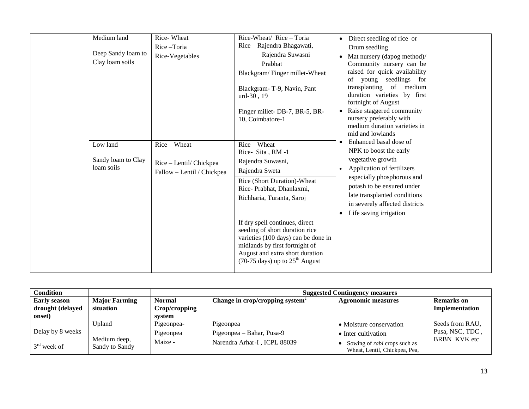| Medium land        | Rice-Wheat                 | Rice-Wheat/ Rice - Toria                                         | Direct seedling of rice or<br>$\bullet$                  |
|--------------------|----------------------------|------------------------------------------------------------------|----------------------------------------------------------|
|                    | Rice-Toria                 | Rice – Rajendra Bhagawati,                                       | Drum seedling                                            |
| Deep Sandy loam to | Rice-Vegetables            | Rajendra Suwasni                                                 | Mat nursery (dapog method)/<br>$\bullet$                 |
| Clay loam soils    |                            | Prabhat                                                          | Community nursery can be                                 |
|                    |                            | Blackgram/Finger millet-Wheat                                    | raised for quick availability<br>of young seedlings for  |
|                    |                            | Blackgram-T-9, Navin, Pant                                       | transplanting of medium                                  |
|                    |                            | $urd-30$ , 19                                                    | duration varieties by first<br>fortnight of August       |
|                    |                            | Finger millet-DB-7, BR-5, BR-                                    | Raise staggered community<br>$\bullet$                   |
|                    |                            | 10, Coimbatore-1                                                 | nursery preferably with                                  |
|                    |                            |                                                                  | medium duration varieties in<br>mid and lowlands         |
| Low land           | $Rice-Wheat$               | $Rice-Wheat$                                                     | Enhanced basal dose of<br>$\bullet$                      |
|                    |                            | Rice-Sita, RM-1                                                  | NPK to boost the early                                   |
| Sandy loam to Clay | Rice - Lentil/ Chickpea    | Rajendra Suwasni,                                                | vegetative growth                                        |
| loam soils         | Fallow - Lentil / Chickpea | Rajendra Sweta                                                   | Application of fertilizers                               |
|                    |                            | Rice (Short Duration)-Wheat                                      | especially phosphorous and                               |
|                    |                            | Rice-Prabhat, Dhanlaxmi,                                         | potash to be ensured under                               |
|                    |                            | Richharia, Turanta, Saroj                                        | late transplanted conditions                             |
|                    |                            |                                                                  | in severely affected districts<br>Life saving irrigation |
|                    |                            |                                                                  |                                                          |
|                    |                            | If dry spell continues, direct<br>seeding of short duration rice |                                                          |
|                    |                            | varieties (100 days) can be done in                              |                                                          |
|                    |                            | midlands by first fortnight of                                   |                                                          |
|                    |                            | August and extra short duration                                  |                                                          |
|                    |                            | $(70-75 \text{ days})$ up to $25^{\text{th}}$ August             |                                                          |
|                    |                            |                                                                  |                                                          |

| <b>Condition</b>           |                                |                         | <b>Suggested Contingency measures</b>       |                                                                      |                     |
|----------------------------|--------------------------------|-------------------------|---------------------------------------------|----------------------------------------------------------------------|---------------------|
| <b>Early season</b>        | <b>Major Farming</b>           | <b>Normal</b>           | Change in crop/cropping system <sup>c</sup> | <b>Agronomic measures</b>                                            | <b>Remarks</b> on   |
| drought (delayed<br>onset) | situation                      | Crop/cropping<br>system |                                             |                                                                      | Implementation      |
|                            | Upland                         | Pigeonpea-              | Pigeonpea                                   | • Moisture conservation                                              | Seeds from RAU,     |
| Delay by 8 weeks           |                                | Pigeonpea               | Pigeonpea – Bahar, Pusa-9                   | • Inter cultivation                                                  | Pusa, NSC, TDC,     |
| $3rd$ week of              | Medium deep,<br>Sandy to Sandy | Maize -                 | Narendra Arhar-I, ICPL 88039                | Sowing of <i>rabi</i> crops such as<br>Wheat, Lentil, Chickpea, Pea, | <b>BRBN KVK</b> etc |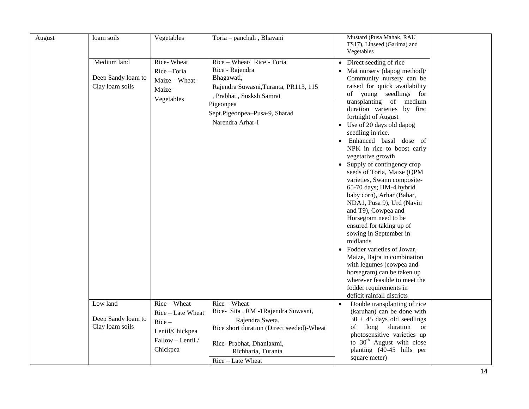| August | loam soils                                           | Vegetables                                                                                        | Toria - panchali, Bhavani                                                                                                                                                                        | Mustard (Pusa Mahak, RAU<br>TS17), Linseed (Garima) and<br>Vegetables                                                                                                                                                                                                                                                                                                                                                                                                                                                                                                                                                                                                                                                                                                                                                                                                                |  |
|--------|------------------------------------------------------|---------------------------------------------------------------------------------------------------|--------------------------------------------------------------------------------------------------------------------------------------------------------------------------------------------------|--------------------------------------------------------------------------------------------------------------------------------------------------------------------------------------------------------------------------------------------------------------------------------------------------------------------------------------------------------------------------------------------------------------------------------------------------------------------------------------------------------------------------------------------------------------------------------------------------------------------------------------------------------------------------------------------------------------------------------------------------------------------------------------------------------------------------------------------------------------------------------------|--|
|        | Medium land<br>Deep Sandy loam to<br>Clay loam soils | Rice-Wheat<br>Rice-Toria<br>Maize - Wheat<br>Maize-<br>Vegetables                                 | Rice - Wheat/ Rice - Toria<br>Rice - Rajendra<br>Bhagawati,<br>Rajendra Suwasni, Turanta, PR113, 115<br>Prabhat, Susksh Samrat<br>Pigeonpea<br>Sept.Pigeonpea-Pusa-9, Sharad<br>Narendra Arhar-I | • Direct seeding of rice<br>Mat nursery (dapog method)/<br>Community nursery can be<br>raised for quick availability<br>of young seedlings for<br>transplanting of medium<br>duration varieties by first<br>fortnight of August<br>• Use of 20 days old dapog<br>seedling in rice.<br>Enhanced basal dose of<br>NPK in rice to boost early<br>vegetative growth<br>• Supply of contingency crop<br>seeds of Toria, Maize (QPM<br>varieties, Swann composite-<br>65-70 days; HM-4 hybrid<br>baby corn), Arhar (Bahar,<br>NDA1, Pusa 9), Urd (Navin<br>and T9), Cowpea and<br>Horsegram need to be<br>ensured for taking up of<br>sowing in September in<br>midlands<br>• Fodder varieties of Jowar,<br>Maize, Bajra in combination<br>with legumes (cowpea and<br>horsegram) can be taken up<br>wherever feasible to meet the<br>fodder requirements in<br>deficit rainfall districts |  |
|        | Low land<br>Deep Sandy loam to<br>Clay loam soils    | Rice - Wheat<br>Rice - Late Wheat<br>$Rice -$<br>Lentil/Chickpea<br>Fallow - Lentil /<br>Chickpea | Rice - Wheat<br>Rice- Sita, RM -1Rajendra Suwasni,<br>Rajendra Sweta,<br>Rice short duration (Direct seeded)-Wheat<br>Rice-Prabhat, Dhanlaxmi,<br>Richharia, Turanta<br>Rice - Late Wheat        | Double transplanting of rice<br>(karuhan) can be done with<br>$30 + 45$ days old seedlings<br>duration<br>long<br>of<br><sub>or</sub><br>photosensitive varieties up<br>to $30th$ August with close<br>planting (40-45 hills per<br>square meter)                                                                                                                                                                                                                                                                                                                                                                                                                                                                                                                                                                                                                                    |  |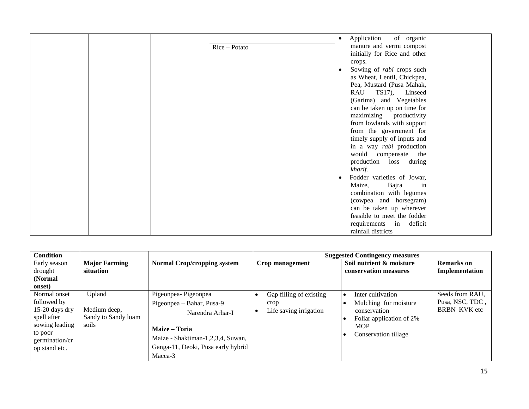|  |               | Application<br>of organic<br>$\bullet$ |
|--|---------------|----------------------------------------|
|  | Rice - Potato | manure and vermi compost               |
|  |               | initially for Rice and other           |
|  |               | crops.                                 |
|  |               | Sowing of rabi crops such<br>$\bullet$ |
|  |               | as Wheat, Lentil, Chickpea,            |
|  |               | Pea, Mustard (Pusa Mahak,              |
|  |               | TS17), Linseed<br>RAU                  |
|  |               | (Garima) and Vegetables                |
|  |               | can be taken up on time for            |
|  |               | maximizing productivity                |
|  |               | from lowlands with support             |
|  |               | from the government for                |
|  |               | timely supply of inputs and            |
|  |               | in a way <i>rabi</i> production        |
|  |               | would compensate the                   |
|  |               | production loss during                 |
|  |               | kharif.                                |
|  |               | Fodder varieties of Jowar,             |
|  |               | Bajra<br>Maize,<br>in                  |
|  |               | combination with legumes               |
|  |               | (cowpea and horsegram)                 |
|  |               | can be taken up wherever               |
|  |               | feasible to meet the fodder            |
|  |               | requirements in deficit                |
|  |               | rainfall districts                     |

| <b>Condition</b>                                                                                                               |                                                        |                                                                                                                                                                             |                                                           | <b>Suggested Contingency measures</b>                                                                                        |                                                           |
|--------------------------------------------------------------------------------------------------------------------------------|--------------------------------------------------------|-----------------------------------------------------------------------------------------------------------------------------------------------------------------------------|-----------------------------------------------------------|------------------------------------------------------------------------------------------------------------------------------|-----------------------------------------------------------|
| Early season<br>drought<br>(Normal)<br>onset)                                                                                  | <b>Major Farming</b><br>situation                      | <b>Normal Crop/cropping system</b>                                                                                                                                          | Crop management                                           | Soil nutrient & moisture<br>conservation measures                                                                            | <b>Remarks</b> on<br>Implementation                       |
| Normal onset<br>followed by<br>$15-20$ days dry<br>spell after<br>sowing leading<br>to poor<br>germination/cr<br>op stand etc. | Upland<br>Medium deep,<br>Sandy to Sandy loam<br>soils | Pigeonpea-Pigeonpea<br>Pigeonpea – Bahar, Pusa-9<br>Narendra Arhar-I<br>Maize - Toria<br>Maize - Shaktiman-1,2,3,4, Suwan,<br>Ganga-11, Deoki, Pusa early hybrid<br>Macca-3 | Gap filling of existing<br>crop<br>Life saving irrigation | Inter cultivation<br>Mulching for moisture<br>conservation<br>Foliar application of 2%<br><b>MOP</b><br>Conservation tillage | Seeds from RAU,<br>Pusa, NSC, TDC,<br><b>BRBN KVK</b> etc |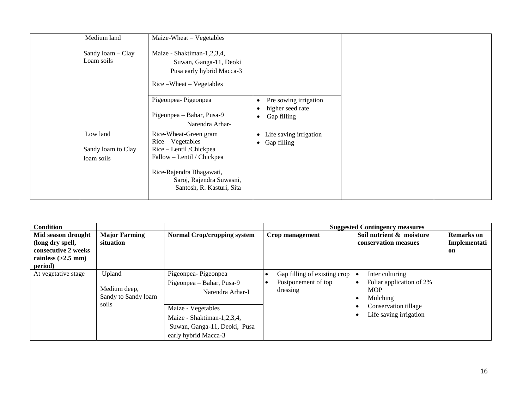| Medium land<br>Sandy loam - Clay<br>Loam soils | Maize-Wheat - Vegetables<br>Maize - Shaktiman-1,2,3,4,<br>Suwan, Ganga-11, Deoki<br>Pusa early hybrid Macca-3<br>Rice-Wheat-Vegetables                                                   |                                                                            |  |
|------------------------------------------------|------------------------------------------------------------------------------------------------------------------------------------------------------------------------------------------|----------------------------------------------------------------------------|--|
|                                                | Pigeonpea-Pigeonpea<br>Pigeonpea - Bahar, Pusa-9<br>Narendra Arhar-                                                                                                                      | Pre sowing irrigation<br>٠<br>higher seed rate<br>Gap filling<br>$\bullet$ |  |
| Low land<br>Sandy loam to Clay<br>loam soils   | Rice-Wheat-Green gram<br>Rice – Vegetables<br>Rice - Lentil /Chickpea<br>Fallow - Lentil / Chickpea<br>Rice-Rajendra Bhagawati,<br>Saroj, Rajendra Suwasni,<br>Santosh, R. Kasturi, Sita | Life saving irrigation<br>$\bullet$<br>Gap filling<br>$\bullet$            |  |

| Condition                                                     |                                               |                                                                                                          |                                                                 | <b>Suggested Contingency measures</b>                                 |                                         |
|---------------------------------------------------------------|-----------------------------------------------|----------------------------------------------------------------------------------------------------------|-----------------------------------------------------------------|-----------------------------------------------------------------------|-----------------------------------------|
| Mid season drought<br>(long dry spell,<br>consecutive 2 weeks | <b>Major Farming</b><br>situation             | <b>Normal Crop/cropping system</b>                                                                       | Crop management                                                 | Soil nutrient & moisture<br>conservation measues                      | <b>Remarks</b> on<br>Implementati<br>on |
| rainless $(>2.5$ mm)                                          |                                               |                                                                                                          |                                                                 |                                                                       |                                         |
| period)                                                       |                                               |                                                                                                          |                                                                 |                                                                       |                                         |
| At vegetative stage                                           | Upland<br>Medium deep,<br>Sandy to Sandy loam | Pigeonpea-Pigeonpea<br>Pigeonpea – Bahar, Pusa-9<br>Narendra Arhar-I                                     | Gap filling of existing crop<br>Postponement of top<br>dressing | Inter culturing<br>Foliar application of 2%<br><b>MOP</b><br>Mulching |                                         |
|                                                               | soils                                         | Maize - Vegetables<br>Maize - Shaktiman-1,2,3,4,<br>Suwan, Ganga-11, Deoki, Pusa<br>early hybrid Macca-3 |                                                                 | Conservation tillage<br>Life saving irrigation                        |                                         |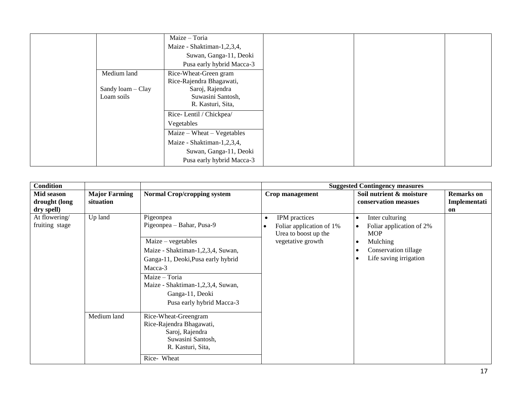|                   | Maize - Toria              |
|-------------------|----------------------------|
|                   | Maize - Shaktiman-1,2,3,4, |
|                   | Suwan, Ganga-11, Deoki     |
|                   | Pusa early hybrid Macca-3  |
| Medium land       | Rice-Wheat-Green gram      |
|                   | Rice-Rajendra Bhagawati,   |
| Sandy loam - Clay | Saroj, Rajendra            |
| Loam soils        | Suwasini Santosh,          |
|                   | R. Kasturi, Sita,          |
|                   | Rice-Lentil / Chickpea/    |
|                   | Vegetables                 |
|                   | Maize – Wheat – Vegetables |
|                   | Maize - Shaktiman-1,2,3,4, |
|                   | Suwan, Ganga-11, Deoki     |
|                   | Pusa early hybrid Macca-3  |

| <b>Condition</b>                          |                                   |                                                                                       |                                                                                | <b>Suggested Contingency measures</b>                     |                                         |
|-------------------------------------------|-----------------------------------|---------------------------------------------------------------------------------------|--------------------------------------------------------------------------------|-----------------------------------------------------------|-----------------------------------------|
| Mid season<br>drought (long<br>dry spell) | <b>Major Farming</b><br>situation | <b>Normal Crop/cropping system</b>                                                    | Crop management                                                                | Soil nutrient & moisture<br>conservation measues          | <b>Remarks</b> on<br>Implementati<br>on |
| At flowering/<br>fruiting stage           | Up land                           | Pigeonpea<br>Pigeonpea - Bahar, Pusa-9                                                | IPM practices<br>$\bullet$<br>Foliar application of 1%<br>Urea to boost up the | Inter culturing<br>Foliar application of 2%<br><b>MOP</b> |                                         |
|                                           |                                   | $Maize - vegetables$                                                                  | vegetative growth                                                              | Mulching                                                  |                                         |
|                                           |                                   | Maize - Shaktiman-1,2,3,4, Suwan,                                                     |                                                                                | Conservation tillage                                      |                                         |
|                                           |                                   | Ganga-11, Deoki, Pusa early hybrid                                                    |                                                                                | Life saving irrigation                                    |                                         |
|                                           |                                   | Macca-3                                                                               |                                                                                |                                                           |                                         |
|                                           |                                   | Maize - Toria                                                                         |                                                                                |                                                           |                                         |
|                                           |                                   | Maize - Shaktiman-1,2,3,4, Suwan,                                                     |                                                                                |                                                           |                                         |
|                                           |                                   | Ganga-11, Deoki                                                                       |                                                                                |                                                           |                                         |
|                                           |                                   | Pusa early hybrid Macca-3                                                             |                                                                                |                                                           |                                         |
|                                           | Medium land                       | Rice-Wheat-Greengram                                                                  |                                                                                |                                                           |                                         |
|                                           |                                   | Rice-Rajendra Bhagawati,<br>Saroj, Rajendra<br>Suwasini Santosh,<br>R. Kasturi, Sita, |                                                                                |                                                           |                                         |
|                                           |                                   | Rice-Wheat                                                                            |                                                                                |                                                           |                                         |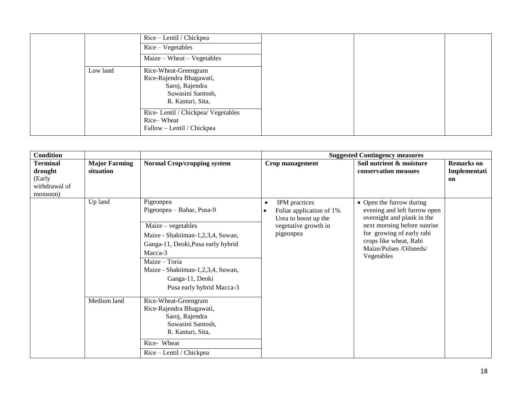| Rice – Lentil / Chickpea<br>$Rice-Vegetables$ |
|-----------------------------------------------|
| Maize – Wheat – Vegetables                    |
| Rice-Wheat-Greengram                          |
| Rice-Rajendra Bhagawati,                      |
| Saroj, Rajendra                               |
| Suwasini Santosh,                             |
| R. Kasturi, Sita,                             |
| Rice-Lentil / Chickpea/ Vegetables            |
| Rice-Wheat                                    |
| Fallow – Lentil / Chickpea                    |
|                                               |

| <b>Condition</b>                                                  |                                   |                                                                                                                                                                                                                                                            |                                                                                                                     | <b>Suggested Contingency measures</b>                                                                                                                                                                                 |                                                |
|-------------------------------------------------------------------|-----------------------------------|------------------------------------------------------------------------------------------------------------------------------------------------------------------------------------------------------------------------------------------------------------|---------------------------------------------------------------------------------------------------------------------|-----------------------------------------------------------------------------------------------------------------------------------------------------------------------------------------------------------------------|------------------------------------------------|
| <b>Terminal</b><br>drought<br>(Early<br>withdrawal of<br>monsoon) | <b>Major Farming</b><br>situation | <b>Normal Crop/cropping system</b>                                                                                                                                                                                                                         | Crop management                                                                                                     | Soil nutrient & moisture<br>conservation measues                                                                                                                                                                      | <b>Remarks</b> on<br>Implementati<br><b>on</b> |
|                                                                   | Up land                           | Pigeonpea<br>Pigeonpea - Bahar, Pusa-9<br>$Maize - vegetables$<br>Maize - Shaktiman-1,2,3,4, Suwan,<br>Ganga-11, Deoki, Pusa early hybrid<br>Macca-3<br>Maize - Toria<br>Maize - Shaktiman-1,2,3,4, Suwan,<br>Ganga-11, Deoki<br>Pusa early hybrid Macca-3 | IPM practices<br>$\bullet$<br>Foliar application of 1%<br>Urea to boost up the<br>vegetative growth in<br>pigeonpea | • Open the furrow during<br>evening and left furrow open<br>overnight and plank in the<br>next morning before sunrise<br>for growing of early rabi<br>crops like wheat, Rabi<br>Maize/Pulses /Oilseeds/<br>Vegetables |                                                |
|                                                                   | Medium land                       | Rice-Wheat-Greengram<br>Rice-Rajendra Bhagawati,<br>Saroj, Rajendra<br>Suwasini Santosh,<br>R. Kasturi, Sita,<br>Rice- Wheat<br>Rice – Lentil / Chickpea                                                                                                   |                                                                                                                     |                                                                                                                                                                                                                       |                                                |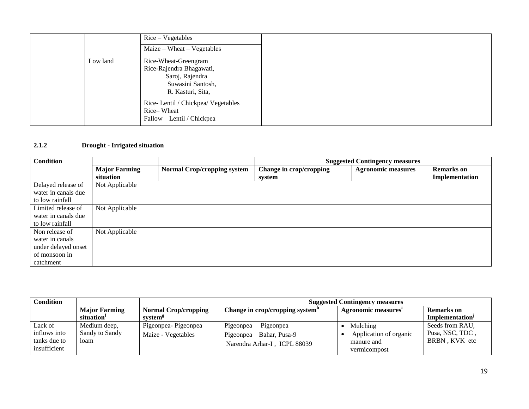|          | $Rice-Vegetables$<br>Maize – Wheat – Vegetables                                                               |
|----------|---------------------------------------------------------------------------------------------------------------|
| Low land | Rice-Wheat-Greengram<br>Rice-Rajendra Bhagawati,<br>Saroj, Rajendra<br>Suwasini Santosh,<br>R. Kasturi, Sita, |
|          | Rice-Lentil / Chickpea/ Vegetables<br>Rice-Wheat<br>Fallow - Lentil / Chickpea                                |

# **2.1.2 Drought - Irrigated situation**

| <b>Condition</b>    |                      |                                    | <b>Suggested Contingency measures</b> |                           |                   |  |
|---------------------|----------------------|------------------------------------|---------------------------------------|---------------------------|-------------------|--|
|                     | <b>Major Farming</b> | <b>Normal Crop/cropping system</b> | Change in crop/cropping               | <b>Agronomic measures</b> | <b>Remarks</b> on |  |
|                     | situation            |                                    | system                                |                           | Implementation    |  |
| Delayed release of  | Not Applicable       |                                    |                                       |                           |                   |  |
| water in canals due |                      |                                    |                                       |                           |                   |  |
| to low rainfall     |                      |                                    |                                       |                           |                   |  |
| Limited release of  | Not Applicable       |                                    |                                       |                           |                   |  |
| water in canals due |                      |                                    |                                       |                           |                   |  |
| to low rainfall     |                      |                                    |                                       |                           |                   |  |
| Non release of      | Not Applicable       |                                    |                                       |                           |                   |  |
| water in canals     |                      |                                    |                                       |                           |                   |  |
| under delayed onset |                      |                                    |                                       |                           |                   |  |
| of monsoon in       |                      |                                    |                                       |                           |                   |  |
| catchment           |                      |                                    |                                       |                           |                   |  |

| <b>Condition</b> |                        |                             | <b>Suggested Contingency measures</b>       |                        |                             |
|------------------|------------------------|-----------------------------|---------------------------------------------|------------------------|-----------------------------|
|                  | <b>Major Farming</b>   | <b>Normal Crop/cropping</b> | Change in crop/cropping system <sup>n</sup> | Agronomic measures'    | <b>Remarks</b> on           |
|                  | situation <sup>1</sup> | system <sup>8</sup>         |                                             |                        | Implementation <sup>J</sup> |
| Lack of          | Medium deep,           | Pigeonpea-Pigeonpea         | Pigeonpea – Pigeonpea                       | Mulching               | Seeds from RAU,             |
| inflows into     | Sandy to Sandy         | Maize - Vegetables          | Pigeonpea – Bahar, Pusa-9                   | Application of organic | Pusa, NSC, TDC,             |
| tanks due to     | loam                   |                             | Narendra Arhar-I, ICPL 88039                | manure and             | BRBN, KVK etc               |
| insufficient     |                        |                             |                                             | vermicompost           |                             |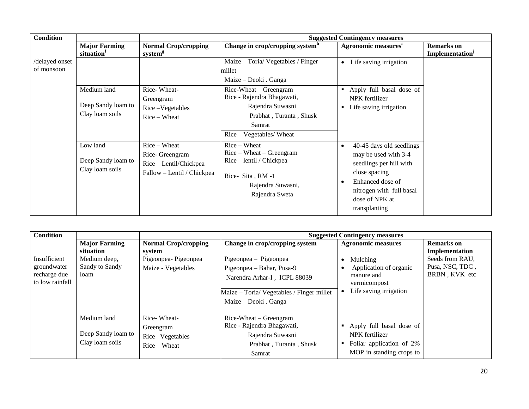| <b>Condition</b> |                      |                             |                                             | <b>Suggested Contingency measures</b> |                             |
|------------------|----------------------|-----------------------------|---------------------------------------------|---------------------------------------|-----------------------------|
|                  | <b>Major Farming</b> | <b>Normal Crop/cropping</b> | Change in crop/cropping system <sup>h</sup> | <b>Agronomic measures</b>             | <b>Remarks</b> on           |
|                  | situation            | system <sup>g</sup>         |                                             |                                       | Implementation <sup>J</sup> |
| /delayed onset   |                      |                             | Maize - Toria/ Vegetables / Finger          | Life saving irrigation<br>$\bullet$   |                             |
| of monsoon       |                      |                             | millet                                      |                                       |                             |
|                  |                      |                             | Maize – Deoki . Ganga                       |                                       |                             |
|                  | Medium land          | Rice-Wheat-                 | Rice-Wheat – Greengram                      | Apply full basal dose of              |                             |
|                  |                      | Greengram                   | Rice - Rajendra Bhagawati,                  | NPK fertilizer                        |                             |
|                  | Deep Sandy loam to   | Rice-Vegetables             | Rajendra Suwasni                            | Life saving irrigation                |                             |
|                  | Clay loam soils      | $Rice-Wheat$                | Prabhat, Turanta, Shusk                     |                                       |                             |
|                  |                      |                             | Samrat                                      |                                       |                             |
|                  |                      |                             | Rice - Vegetables/ Wheat                    |                                       |                             |
|                  | Low land             | Rice – Wheat                | $Rice-Wheat$                                | 40-45 days old seedlings<br>$\bullet$ |                             |
|                  |                      | Rice- Greengram             | $Rice - Wheat - Greengram$                  | may be used with 3-4                  |                             |
|                  | Deep Sandy loam to   | Rice - Lentil/Chickpea      | Rice - lentil / Chickpea                    | seedlings per hill with               |                             |
|                  | Clay loam soils      | Fallow - Lentil / Chickpea  |                                             | close spacing                         |                             |
|                  |                      |                             | Rice-Sita, RM-1                             | Enhanced dose of<br>c                 |                             |
|                  |                      |                             | Rajendra Suwasni,                           | nitrogen with full basal              |                             |
|                  |                      |                             | Rajendra Sweta                              | dose of NPK at                        |                             |
|                  |                      |                             |                                             | transplanting                         |                             |
|                  |                      |                             |                                             |                                       |                             |

| <b>Condition</b>            |                                   |                                       |                                                      | <b>Suggested Contingency measures</b> |                                     |
|-----------------------------|-----------------------------------|---------------------------------------|------------------------------------------------------|---------------------------------------|-------------------------------------|
|                             | <b>Major Farming</b><br>situation | <b>Normal Crop/cropping</b><br>system | Change in crop/cropping system                       | <b>Agronomic measures</b>             | <b>Remarks</b> on<br>Implementation |
| Insufficient                | Medium deep,                      | Pigeonpea-Pigeonpea                   | Pigeonpea – Pigeonpea                                | Mulching                              | Seeds from RAU,                     |
| groundwater<br>recharge due | Sandy to Sandy<br>loam            | Maize - Vegetables                    | Pigeonpea – Bahar, Pusa-9                            | Application of organic<br>manure and  | Pusa, NSC, TDC,<br>BRBN, KVK etc    |
| to low rainfall             |                                   |                                       | Narendra Arhar-I, ICPL 88039                         | vermicompost                          |                                     |
|                             |                                   |                                       | Maize - Toria/ Vegetables / Finger millet            | Life saving irrigation                |                                     |
|                             |                                   |                                       | Maize – Deoki . Ganga                                |                                       |                                     |
|                             | Medium land                       | Rice-Wheat-                           | Rice-Wheat – Greengram<br>Rice - Rajendra Bhagawati, | • Apply full basal dose of            |                                     |
|                             | Deep Sandy loam to                | Greengram<br>Rice-Vegetables          | Rajendra Suwasni                                     | NPK fertilizer                        |                                     |
|                             | Clay loam soils                   | $Rice-Wheat$                          | Prabhat, Turanta, Shusk                              | Foliar application of 2%              |                                     |
|                             |                                   |                                       | Samrat                                               | MOP in standing crops to              |                                     |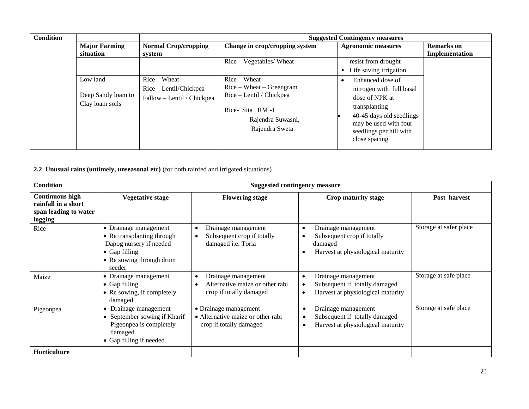| <b>Condition</b>                                  |                                                                      |                                                                                                                                    | <b>Suggested Contingency measures</b>                                                                                                                                            |                   |
|---------------------------------------------------|----------------------------------------------------------------------|------------------------------------------------------------------------------------------------------------------------------------|----------------------------------------------------------------------------------------------------------------------------------------------------------------------------------|-------------------|
| <b>Major Farming</b>                              | <b>Normal Crop/cropping</b>                                          | Change in crop/cropping system                                                                                                     | <b>Agronomic measures</b>                                                                                                                                                        | <b>Remarks</b> on |
| situation                                         | system                                                               |                                                                                                                                    |                                                                                                                                                                                  | Implementation    |
|                                                   |                                                                      | Rice – Vegetables/ Wheat                                                                                                           | resist from drought                                                                                                                                                              |                   |
|                                                   |                                                                      |                                                                                                                                    | Life saving irrigation                                                                                                                                                           |                   |
| Low land<br>Deep Sandy loam to<br>Clay loam soils | $Rice-Wheat$<br>Rice – Lentil/Chickpea<br>Fallow - Lentil / Chickpea | $Rice - Wheat$<br>$Rice - Wheat - Greengram$<br>Rice – Lentil / Chickpea<br>Rice-Sita, RM-1<br>Rajendra Suwasni,<br>Rajendra Sweta | Enhanced dose of<br>nitrogen with full basal<br>dose of NPK at<br>transplanting<br>40-45 days old seedlings<br>may be used with four<br>seedlings per hill with<br>close spacing |                   |

**2.2 Unusual rains (untimely, unseasonal etc)** (for both rainfed and irrigated situations)

| <b>Condition</b>                                                                  |                                                                                                                                               | <b>Suggested contingency measure</b>                                                  |                                                                                                     |                        |
|-----------------------------------------------------------------------------------|-----------------------------------------------------------------------------------------------------------------------------------------------|---------------------------------------------------------------------------------------|-----------------------------------------------------------------------------------------------------|------------------------|
| <b>Continuous high</b><br>rainfall in a short<br>span leading to water<br>logging | <b>Vegetative stage</b>                                                                                                                       | <b>Flowering stage</b>                                                                | Crop maturity stage                                                                                 | Post harvest           |
| Rice                                                                              | • Drainage management<br>• Re transplanting through<br>Dapog nursery if needed<br>$\bullet$ Gap filling<br>• Re sowing through drum<br>seeder | Drainage management<br>$\bullet$<br>Subsequent crop if totally<br>damaged i.e. Toria  | Drainage management<br>Subsequent crop if totally<br>damaged<br>Harvest at physiological maturity   | Storage at safer place |
| Maize                                                                             | • Drainage management<br>$\bullet$ Gap filling<br>• Re sowing, if completely<br>damaged                                                       | Drainage management<br>Alternative maize or other rabi<br>crop if totally damaged     | Drainage management<br>٠<br>Subsequent if totally damaged<br>Harvest at physiological maturity      | Storage at safe place  |
| Pigeonpea                                                                         | Drainage management<br>$\bullet$<br>September sowing if Kharif<br>Pigeonpea is completely<br>damaged<br>• Gap filling if needed               | • Drainage management<br>• Alternative maize or other rabi<br>crop if totally damaged | Drainage management<br>٠<br>Subsequent if totally damaged<br>٠<br>Harvest at physiological maturity | Storage at safe place  |
| Horticulture                                                                      |                                                                                                                                               |                                                                                       |                                                                                                     |                        |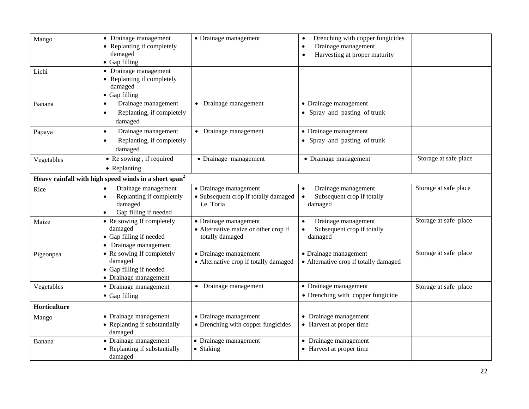| Mango        | • Drainage management<br>• Replanting if completely               | • Drainage management                 | Drenching with copper fungicides<br>$\bullet$<br>Drainage management<br>٠ |                       |
|--------------|-------------------------------------------------------------------|---------------------------------------|---------------------------------------------------------------------------|-----------------------|
|              | damaged<br>• Gap filling                                          |                                       | Harvesting at proper maturity                                             |                       |
|              | • Drainage management                                             |                                       |                                                                           |                       |
| Lichi        | • Replanting if completely                                        |                                       |                                                                           |                       |
|              | damaged                                                           |                                       |                                                                           |                       |
|              | • Gap filling                                                     |                                       |                                                                           |                       |
| Banana       | Drainage management<br>$\bullet$                                  | • Drainage management                 | • Drainage management                                                     |                       |
|              | Replanting, if completely<br>$\bullet$                            |                                       | • Spray and pasting of trunk                                              |                       |
|              | damaged                                                           |                                       |                                                                           |                       |
| Papaya       | Drainage management<br>$\bullet$                                  | • Drainage management                 | • Drainage management                                                     |                       |
|              | Replanting, if completely<br>$\bullet$                            |                                       | • Spray and pasting of trunk                                              |                       |
|              | damaged                                                           |                                       |                                                                           |                       |
| Vegetables   | • Re sowing, if required                                          | · Drainage management                 | • Drainage management                                                     | Storage at safe place |
|              | • Replanting                                                      |                                       |                                                                           |                       |
|              | Heavy rainfall with high speed winds in a short span <sup>2</sup> |                                       |                                                                           |                       |
| Rice         | Drainage management<br>$\bullet$                                  | • Drainage management                 | Drainage management<br>$\bullet$                                          | Storage at safe place |
|              | Replanting if completely                                          | • Subsequent crop if totally damaged  | Subsequent crop if totally<br>$\bullet$                                   |                       |
|              | damaged                                                           | i.e. Toria                            | damaged                                                                   |                       |
|              | Gap filling if needed                                             |                                       |                                                                           |                       |
| Maize        | • Re sowing If completely                                         | • Drainage management                 | Drainage management<br>$\bullet$                                          | Storage at safe place |
|              | damaged<br>• Gap filling if needed                                | • Alternative maize or other crop if  | Subsequent crop if totally                                                |                       |
|              | • Drainage management                                             | totally damaged                       | damaged                                                                   |                       |
| Pigeonpea    | • Re sowing If completely                                         | • Drainage management                 | • Drainage management                                                     | Storage at safe place |
|              | damaged                                                           | • Alternative crop if totally damaged | • Alternative crop if totally damaged                                     |                       |
|              | • Gap filling if needed                                           |                                       |                                                                           |                       |
|              | • Drainage management                                             |                                       |                                                                           |                       |
| Vegetables   | • Drainage management                                             | • Drainage management                 | • Drainage management                                                     | Storage at safe place |
|              | Gap filling                                                       |                                       | • Drenching with copper fungicide                                         |                       |
| Horticulture |                                                                   |                                       |                                                                           |                       |
| Mango        | • Drainage management                                             | • Drainage management                 | • Drainage management                                                     |                       |
|              | • Replanting if substantially                                     | • Drenching with copper fungicides    | • Harvest at proper time                                                  |                       |
|              | damaged                                                           |                                       |                                                                           |                       |
| Banana       | • Drainage management<br>• Replanting if substantially            | • Drainage management<br>• Staking    | • Drainage management<br>• Harvest at proper time                         |                       |
|              | damaged                                                           |                                       |                                                                           |                       |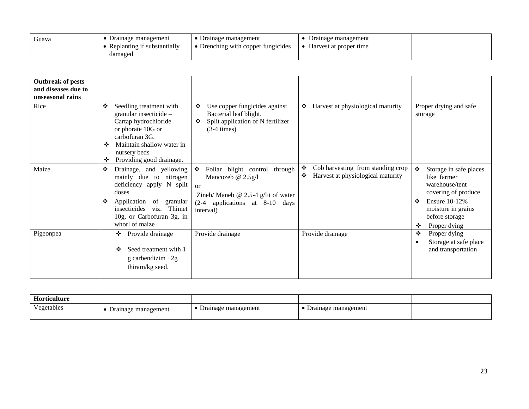| Guava | Drainage management         | Drainage management              | Drainage management    |  |
|-------|-----------------------------|----------------------------------|------------------------|--|
|       | Replanting if substantially | Drenching with copper fungicides | Harvest at proper time |  |
|       | damaged                     |                                  |                        |  |

| <b>Outbreak of pests</b><br>and diseases due to<br>unseasonal rains |                                                                                                                                                                                                          |                                                                                                                                                                |                                                                                  |                                                                                                                                                                               |
|---------------------------------------------------------------------|----------------------------------------------------------------------------------------------------------------------------------------------------------------------------------------------------------|----------------------------------------------------------------------------------------------------------------------------------------------------------------|----------------------------------------------------------------------------------|-------------------------------------------------------------------------------------------------------------------------------------------------------------------------------|
| Rice                                                                | ❖<br>Seedling treatment with<br>granular insecticide -<br>Cartap hydrochloride<br>or phorate 10G or<br>carbofuran 3G.<br>Maintain shallow water in<br>❖<br>nursery beds<br>Providing good drainage.<br>❖ | Use copper fungicides against<br>❖<br>Bacterial leaf blight.<br>Split application of N fertilizer<br>❖<br>$(3-4 \times)$                                       | Harvest at physiological maturity<br>❖                                           | Proper drying and safe<br>storage                                                                                                                                             |
| Maize                                                               | ❖<br>Drainage, and yellowing<br>mainly due to nitrogen<br>deficiency apply N split<br>doses<br>❖<br>Application of granular<br>insecticides viz. Thimet<br>10g, or Carbofuran 3g. in<br>whorl of maize   | Foliar blight control<br>through<br>❖<br>Mancozeb @ 2.5g/l<br>$\alpha$<br>Zineb/ Maneb $@$ 2.5-4 g/lit of water<br>(2-4 applications at 8-10 days<br>interval) | Cob harvesting from standing crop<br>❖<br>Harvest at physiological maturity<br>❖ | ❖<br>Storage in safe places<br>like farmer<br>warehouse/tent<br>covering of produce<br><b>Ensure 10-12%</b><br>❖<br>moisture in grains<br>before storage<br>Proper dying<br>❖ |
| Pigeonpea                                                           | Provide drainage<br>❖<br>Seed treatment with 1<br>❖<br>$g$ carbendizim $+2g$<br>thiram/kg seed.                                                                                                          | Provide drainage                                                                                                                                               | Provide drainage                                                                 | Proper dying<br>❖<br>Storage at safe place<br>and transportation                                                                                                              |

| Horticulture |             |                 |                       |  |
|--------------|-------------|-----------------|-----------------------|--|
| $\mathbf{v}$ | management  | management      | management            |  |
| Vegetables   | $L$ rainage | $\mu$ rainage m | $\mathcal{L}$ rainage |  |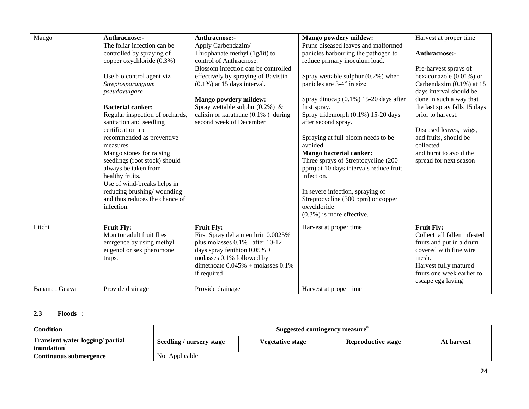| Mango                   | Anthracnose:-<br>The foliar infection can be<br>controlled by spraying of<br>copper oxychloride (0.3%)<br>Use bio control agent viz<br>Streptosporangium<br>pseudovulgare<br><b>Bacterial canker:</b><br>Regular inspection of orchards,<br>sanitation and seedling<br>certification are<br>recommended as preventive<br>measures.<br>Mango stones for raising<br>seedlings (root stock) should<br>always be taken from<br>healthy fruits.<br>Use of wind-breaks helps in<br>reducing brushing/wounding<br>and thus reduces the chance of<br>infection. | Anthracnose:-<br>Apply Carbendazim/<br>Thiophanate methyl (1g/lit) to<br>control of Anthracnose.<br>Blossom infection can be controlled<br>effectively by spraying of Bavistin<br>$(0.1\%)$ at 15 days interval.<br><b>Mango powdery mildew:</b><br>Spray wettable sulphur( $0.2\%$ ) &<br>calixin or karathane $(0.1\%$ ) during<br>second week of December | <b>Mango powdery mildew:</b><br>Prune diseased leaves and malformed<br>panicles harbouring the pathogen to<br>reduce primary inoculum load.<br>Spray wettable sulphur $(0.2\%)$ when<br>panicles are 3-4" in size<br>Spray dinocap (0.1%) 15-20 days after<br>first spray.<br>Spray tridemorph (0.1%) 15-20 days<br>after second spray.<br>Spraying at full bloom needs to be<br>avoided.<br><b>Mango bacterial canker:</b><br>Three sprays of Streptocycline (200<br>ppm) at 10 days intervals reduce fruit<br>infection.<br>In severe infection, spraying of<br>Streptocycline (300 ppm) or copper<br>oxychloride<br>$(0.3\%)$ is more effective. | Harvest at proper time<br>Anthracnose:-<br>Pre-harvest sprays of<br>hexaconazole $(0.01\%)$ or<br>Carbendazim $(0.1\%)$ at 15<br>days interval should be<br>done in such a way that<br>the last spray falls 15 days<br>prior to harvest.<br>Diseased leaves, twigs,<br>and fruits, should be<br>collected<br>and burnt to avoid the<br>spread for next season |
|-------------------------|---------------------------------------------------------------------------------------------------------------------------------------------------------------------------------------------------------------------------------------------------------------------------------------------------------------------------------------------------------------------------------------------------------------------------------------------------------------------------------------------------------------------------------------------------------|--------------------------------------------------------------------------------------------------------------------------------------------------------------------------------------------------------------------------------------------------------------------------------------------------------------------------------------------------------------|-----------------------------------------------------------------------------------------------------------------------------------------------------------------------------------------------------------------------------------------------------------------------------------------------------------------------------------------------------------------------------------------------------------------------------------------------------------------------------------------------------------------------------------------------------------------------------------------------------------------------------------------------------|---------------------------------------------------------------------------------------------------------------------------------------------------------------------------------------------------------------------------------------------------------------------------------------------------------------------------------------------------------------|
| Litchi<br>Banana, Guava | <b>Fruit Fly:</b><br>Monitor adult fruit flies<br>emrgence by using methyl<br>eugenol or sex pheromone<br>traps.<br>Provide drainage                                                                                                                                                                                                                                                                                                                                                                                                                    | <b>Fruit Fly:</b><br>First Spray delta menthrin 0.0025%<br>plus molasses 0.1% . after 10-12<br>days spray fenthion $0.05\%$ +<br>molasses 0.1% followed by<br>dimethoate $0.045%$ + molasses $0.1%$<br>if required<br>Provide drainage                                                                                                                       | Harvest at proper time<br>Harvest at proper time                                                                                                                                                                                                                                                                                                                                                                                                                                                                                                                                                                                                    | <b>Fruit Fly:</b><br>Collect all fallen infested<br>fruits and put in a drum<br>covered with fine wire<br>mesh.<br>Harvest fully matured<br>fruits one week earlier to<br>escape egg laying                                                                                                                                                                   |
|                         |                                                                                                                                                                                                                                                                                                                                                                                                                                                                                                                                                         |                                                                                                                                                                                                                                                                                                                                                              |                                                                                                                                                                                                                                                                                                                                                                                                                                                                                                                                                                                                                                                     |                                                                                                                                                                                                                                                                                                                                                               |

# **2.3 Floods :**

| <b>Condition</b>                                            | Suggested contingency measure                                                           |  |  |  |  |
|-------------------------------------------------------------|-----------------------------------------------------------------------------------------|--|--|--|--|
| Transient water logging/ partial<br>inundation <sup>1</sup> | Seedling / nursery stage<br><b>Reproductive stage</b><br>Vegetative stage<br>At harvest |  |  |  |  |
| Continuous submergence                                      | Not Applicable                                                                          |  |  |  |  |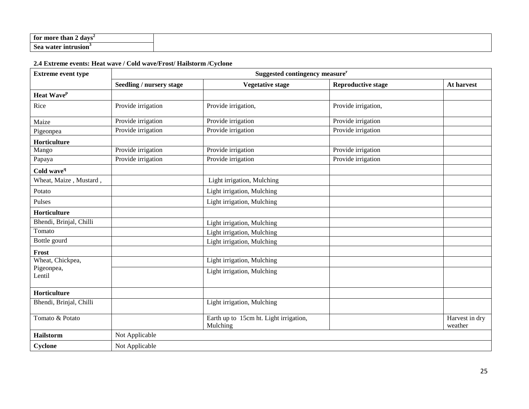| ¿ davs<br>tor more than 2        |
|----------------------------------|
| ı water intrusion'<br><b>Sea</b> |

# **2.4 Extreme events: Heat wave / Cold wave/Frost/ Hailstorm /Cyclone**

| <b>Extreme event type</b> | Suggested contingency measure <sup>r</sup> |                                                    |                           |                           |  |  |
|---------------------------|--------------------------------------------|----------------------------------------------------|---------------------------|---------------------------|--|--|
|                           | Seedling / nursery stage                   | <b>Vegetative stage</b>                            | <b>Reproductive stage</b> | At harvest                |  |  |
| Heat Wave <sup>p</sup>    |                                            |                                                    |                           |                           |  |  |
| Rice                      | Provide irrigation                         | Provide irrigation,                                | Provide irrigation,       |                           |  |  |
| Maize                     | Provide irrigation                         | Provide irrigation                                 | Provide irrigation        |                           |  |  |
| Pigeonpea                 | Provide irrigation                         | Provide irrigation                                 | Provide irrigation        |                           |  |  |
| Horticulture              |                                            |                                                    |                           |                           |  |  |
| Mango                     | Provide irrigation                         | Provide irrigation                                 | Provide irrigation        |                           |  |  |
| Papaya                    | Provide irrigation                         | Provide irrigation                                 | Provide irrigation        |                           |  |  |
| Cold wave <sup>q</sup>    |                                            |                                                    |                           |                           |  |  |
| Wheat, Maize, Mustard,    |                                            | Light irrigation, Mulching                         |                           |                           |  |  |
| Potato                    |                                            | Light irrigation, Mulching                         |                           |                           |  |  |
| Pulses                    |                                            | Light irrigation, Mulching                         |                           |                           |  |  |
| Horticulture              |                                            |                                                    |                           |                           |  |  |
| Bhendi, Brinjal, Chilli   |                                            | Light irrigation, Mulching                         |                           |                           |  |  |
| Tomato                    |                                            | Light irrigation, Mulching                         |                           |                           |  |  |
| Bottle gourd              |                                            | Light irrigation, Mulching                         |                           |                           |  |  |
| Frost                     |                                            |                                                    |                           |                           |  |  |
| Wheat, Chickpea,          |                                            | Light irrigation, Mulching                         |                           |                           |  |  |
| Pigeonpea,<br>Lentil      |                                            | Light irrigation, Mulching                         |                           |                           |  |  |
| Horticulture              |                                            |                                                    |                           |                           |  |  |
| Bhendi, Brinjal, Chilli   |                                            | Light irrigation, Mulching                         |                           |                           |  |  |
| Tomato & Potato           |                                            | Earth up to 15cm ht. Light irrigation,<br>Mulching |                           | Harvest in dry<br>weather |  |  |
| <b>Hailstorm</b>          | Not Applicable                             |                                                    |                           |                           |  |  |
| Cyclone                   | Not Applicable                             |                                                    |                           |                           |  |  |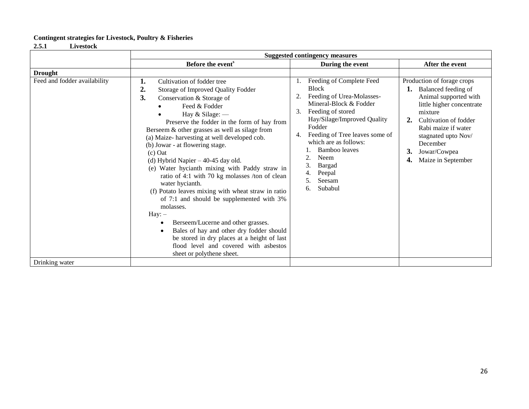# **Contingent strategies for Livestock, Poultry & Fisheries**

**2.5.1 Livestock**

|                              | <b>Suggested contingency measures</b>                                                                                                                                                                                                                                                                                                                                                                                                                                                                                                                                                                                                                                                                                                                                                                                                                                               |                                                                                                                                                                                                                                                                                                                                        |                                                                                                                                                                                                                                                                  |  |  |
|------------------------------|-------------------------------------------------------------------------------------------------------------------------------------------------------------------------------------------------------------------------------------------------------------------------------------------------------------------------------------------------------------------------------------------------------------------------------------------------------------------------------------------------------------------------------------------------------------------------------------------------------------------------------------------------------------------------------------------------------------------------------------------------------------------------------------------------------------------------------------------------------------------------------------|----------------------------------------------------------------------------------------------------------------------------------------------------------------------------------------------------------------------------------------------------------------------------------------------------------------------------------------|------------------------------------------------------------------------------------------------------------------------------------------------------------------------------------------------------------------------------------------------------------------|--|--|
|                              | Before the event <sup>s</sup>                                                                                                                                                                                                                                                                                                                                                                                                                                                                                                                                                                                                                                                                                                                                                                                                                                                       | During the event                                                                                                                                                                                                                                                                                                                       | After the event                                                                                                                                                                                                                                                  |  |  |
| <b>Drought</b>               |                                                                                                                                                                                                                                                                                                                                                                                                                                                                                                                                                                                                                                                                                                                                                                                                                                                                                     |                                                                                                                                                                                                                                                                                                                                        |                                                                                                                                                                                                                                                                  |  |  |
| Feed and fodder availability | 1.<br>Cultivation of fodder tree<br>2.<br>Storage of Improved Quality Fodder<br>3.<br>Conservation & Storage of<br>Feed & Fodder<br>Hay & Silage: —<br>Preserve the fodder in the form of hay from<br>Berseem & other grasses as well as silage from<br>(a) Maize-harvesting at well developed cob.<br>(b) Jowar - at flowering stage.<br>$(c)$ Oat<br>(d) Hybrid Napier - 40-45 day old.<br>(e) Water hycianth mixing with Paddy straw in<br>ratio of 4:1 with 70 kg molasses /ton of clean<br>water hycianth.<br>(f) Potato leaves mixing with wheat straw in ratio<br>of 7:1 and should be supplemented with 3%<br>molasses.<br>$\text{Hay:} -$<br>Berseem/Lucerne and other grasses.<br>$\bullet$<br>Bales of hay and other dry fodder should<br>$\bullet$<br>be stored in dry places at a height of last<br>flood level and covered with asbestos<br>sheet or polythene sheet. | Feeding of Complete Feed<br><b>Block</b><br>Feeding of Urea-Molasses-<br>Mineral-Block & Fodder<br>3.<br>Feeding of stored<br>Hay/Silage/Improved Quality<br>Fodder<br>Feeding of Tree leaves some of<br>4.<br>which are as follows:<br>Bamboo leaves<br><b>Neem</b><br>3.<br><b>Bargad</b><br>Peepal<br>Seesam<br>5.<br>Subabul<br>6. | Production of forage crops<br>1. Balanced feeding of<br>Animal supported with<br>little higher concentrate<br>mixture<br>Cultivation of fodder<br>2.<br>Rabi maize if water<br>stagnated upto Nov/<br>December<br>3.<br>Jowar/Cowpea<br>Maize in September<br>4. |  |  |
| Drinking water               |                                                                                                                                                                                                                                                                                                                                                                                                                                                                                                                                                                                                                                                                                                                                                                                                                                                                                     |                                                                                                                                                                                                                                                                                                                                        |                                                                                                                                                                                                                                                                  |  |  |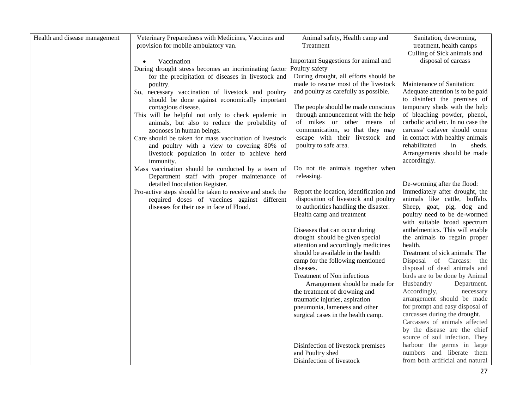| Health and disease management | Veterinary Preparedness with Medicines, Vaccines and                                | Animal safety, Health camp and                                     | Sanitation, deworming,                                          |
|-------------------------------|-------------------------------------------------------------------------------------|--------------------------------------------------------------------|-----------------------------------------------------------------|
|                               | provision for mobile ambulatory van.                                                | Treatment                                                          | treatment, health camps                                         |
|                               |                                                                                     |                                                                    | Culling of Sick animals and                                     |
|                               | Vaccination<br>$\bullet$                                                            | Important Suggestions for animal and                               | disposal of carcass                                             |
|                               | During drought stress becomes an incriminating factor                               | Poultry safety                                                     |                                                                 |
|                               | for the precipitation of diseases in livestock and                                  | During drought, all efforts should be                              |                                                                 |
|                               | poultry.                                                                            | made to rescue most of the livestock                               | Maintenance of Sanitation:                                      |
|                               | So, necessary vaccination of livestock and poultry                                  | and poultry as carefully as possible.                              | Adequate attention is to be paid                                |
|                               | should be done against economically important                                       |                                                                    | to disinfect the premises of                                    |
|                               | contagious disease.                                                                 | The people should be made conscious                                | temporary sheds with the help                                   |
|                               | This will be helpful not only to check epidemic in                                  | through announcement with the help                                 | of bleaching powder, phenol,                                    |
|                               | animals, but also to reduce the probability of                                      | of mikes or other means of                                         | carbolic acid etc. In no case the                               |
|                               | zoonoses in human beings.<br>Care should be taken for mass vaccination of livestock | communication, so that they may<br>escape with their livestock and | carcass/ cadaver should come<br>in contact with healthy animals |
|                               | and poultry with a view to covering 80% of                                          | poultry to safe area.                                              | rehabilitated<br>in<br>sheds.                                   |
|                               | livestock population in order to achieve herd                                       |                                                                    | Arrangements should be made                                     |
|                               | immunity.                                                                           |                                                                    | accordingly.                                                    |
|                               | Mass vaccination should be conducted by a team of                                   | Do not tie animals together when                                   |                                                                 |
|                               | Department staff with proper maintenance of                                         | releasing.                                                         |                                                                 |
|                               | detailed Inoculation Register.                                                      |                                                                    | De-worming after the flood:                                     |
|                               | Pro-active steps should be taken to receive and stock the                           | Report the location, identification and                            | Immediately after drought, the                                  |
|                               | required doses of vaccines against different                                        | disposition of livestock and poultry                               | animals like cattle, buffalo.                                   |
|                               | diseases for their use in face of Flood.                                            | to authorities handling the disaster.                              | Sheep, goat, pig, dog and                                       |
|                               |                                                                                     | Health camp and treatment                                          | poultry need to be de-wormed                                    |
|                               |                                                                                     |                                                                    | with suitable broad spectrum                                    |
|                               |                                                                                     | Diseases that can occur during                                     | anthelmentics. This will enable                                 |
|                               |                                                                                     | drought should be given special                                    | the animals to regain proper                                    |
|                               |                                                                                     | attention and accordingly medicines                                | health.                                                         |
|                               |                                                                                     | should be available in the health                                  | Treatment of sick animals: The                                  |
|                               |                                                                                     | camp for the following mentioned                                   | Disposal of Carcass: the<br>disposal of dead animals and        |
|                               |                                                                                     | diseases.<br>Treatment of Non infectious                           | birds are to be done by Animal                                  |
|                               |                                                                                     | Arrangement should be made for                                     | Husbandry<br>Department.                                        |
|                               |                                                                                     | the treatment of drowning and                                      | Accordingly,<br>necessary                                       |
|                               |                                                                                     | traumatic injuries, aspiration                                     | arrangement should be made                                      |
|                               |                                                                                     | pneumonia, lameness and other                                      | for prompt and easy disposal of                                 |
|                               |                                                                                     | surgical cases in the health camp.                                 | carcasses during the drought.                                   |
|                               |                                                                                     |                                                                    | Carcasses of animals affected                                   |
|                               |                                                                                     |                                                                    | by the disease are the chief                                    |
|                               |                                                                                     |                                                                    | source of soil infection. They                                  |
|                               |                                                                                     | Disinfection of livestock premises                                 | harbour the germs in large                                      |
|                               |                                                                                     | and Poultry shed                                                   | numbers and liberate them                                       |
|                               |                                                                                     | Disinfection of livestock                                          | from both artificial and natural                                |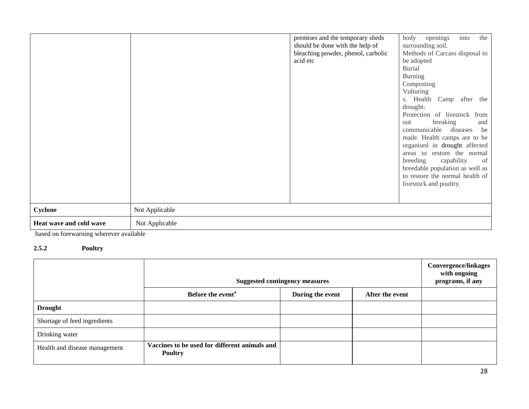|                         |                | premises and the temporary sheds<br>should be done with the help of<br>bleaching powder, phenol, carbolic<br>acid etc | openings<br>into<br>the<br>body<br>surrounding soil.<br>Methods of Carcass disposal to<br>be adopted<br><b>Burial</b><br><b>Burning</b><br>Composting<br>Vulturing<br>s. Health Camp after the<br>drought:<br>Protection of livestock from<br>breaking<br>out<br>and<br>communicable diseases<br>be<br>made. Health camps are to be<br>organised in drought affected<br>areas to restore the normal<br>breeding<br>capability<br>of<br>breedable population as well as<br>to restore the normal health of<br>livestock and poultry. |
|-------------------------|----------------|-----------------------------------------------------------------------------------------------------------------------|-------------------------------------------------------------------------------------------------------------------------------------------------------------------------------------------------------------------------------------------------------------------------------------------------------------------------------------------------------------------------------------------------------------------------------------------------------------------------------------------------------------------------------------|
| Cyclone                 | Not Applicable |                                                                                                                       |                                                                                                                                                                                                                                                                                                                                                                                                                                                                                                                                     |
| Heat wave and cold wave | Not Applicable |                                                                                                                       |                                                                                                                                                                                                                                                                                                                                                                                                                                                                                                                                     |

based on forewarning wherever available

# **2.5.2 Poultry**

|                               | <b>Suggested contingency measures</b>                           |                  |                 | <b>Convergence/linkages</b><br>with ongoing<br>programs, if any |
|-------------------------------|-----------------------------------------------------------------|------------------|-----------------|-----------------------------------------------------------------|
|                               | Before the event <sup>a</sup>                                   | During the event | After the event |                                                                 |
| <b>Drought</b>                |                                                                 |                  |                 |                                                                 |
| Shortage of feed ingredients  |                                                                 |                  |                 |                                                                 |
| Drinking water                |                                                                 |                  |                 |                                                                 |
| Health and disease management | Vaccines to be used for different animals and<br><b>Poultry</b> |                  |                 |                                                                 |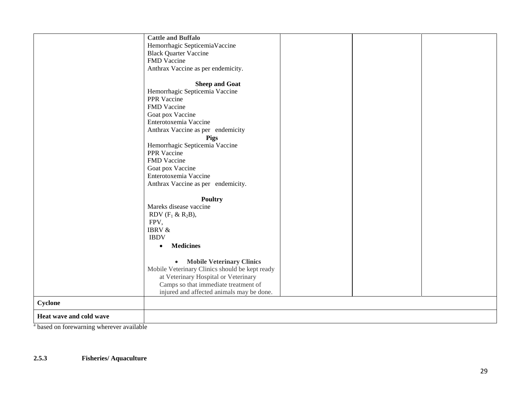|                         | <b>Cattle and Buffalo</b>                      |
|-------------------------|------------------------------------------------|
|                         |                                                |
|                         | Hemorrhagic SepticemiaVaccine                  |
|                         | <b>Black Quarter Vaccine</b>                   |
|                         | FMD Vaccine                                    |
|                         | Anthrax Vaccine as per endemicity.             |
|                         |                                                |
|                         | <b>Sheep and Goat</b>                          |
|                         | Hemorrhagic Septicemia Vaccine                 |
|                         | PPR Vaccine                                    |
|                         | FMD Vaccine                                    |
|                         | Goat pox Vaccine                               |
|                         | Enterotoxemia Vaccine                          |
|                         |                                                |
|                         | Anthrax Vaccine as per endemicity              |
|                         | <b>Pigs</b>                                    |
|                         | Hemorrhagic Septicemia Vaccine                 |
|                         | PPR Vaccine                                    |
|                         | FMD Vaccine                                    |
|                         | Goat pox Vaccine                               |
|                         | Enterotoxemia Vaccine                          |
|                         | Anthrax Vaccine as per endemicity.             |
|                         |                                                |
|                         | <b>Poultry</b>                                 |
|                         | Mareks disease vaccine                         |
|                         | RDV $(F_1 \& R_2B)$ ,                          |
|                         | FPV,                                           |
|                         | <b>IBRV &amp;</b>                              |
|                         | <b>IBDV</b>                                    |
|                         |                                                |
|                         | <b>Medicines</b><br>$\bullet$                  |
|                         |                                                |
|                         | <b>Mobile Veterinary Clinics</b><br>$\bullet$  |
|                         | Mobile Veterinary Clinics should be kept ready |
|                         | at Veterinary Hospital or Veterinary           |
|                         | Camps so that immediate treatment of           |
|                         | injured and affected animals may be done.      |
| Cyclone                 |                                                |
| Heat wave and cold wave |                                                |
|                         |                                                |

<sup>a</sup> based on forewarning wherever available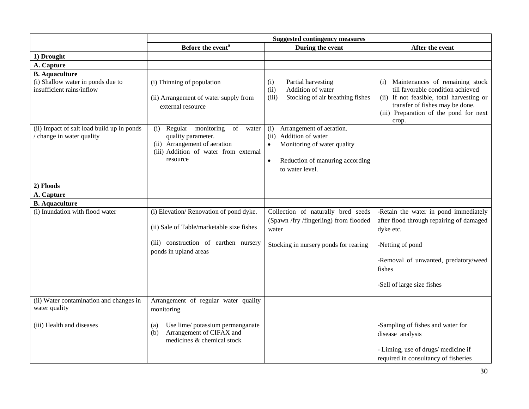|                                                                         | <b>Suggested contingency measures</b>                                                                                                                 |                                                                                                                                                                |                                                                                                                                                                                                                |
|-------------------------------------------------------------------------|-------------------------------------------------------------------------------------------------------------------------------------------------------|----------------------------------------------------------------------------------------------------------------------------------------------------------------|----------------------------------------------------------------------------------------------------------------------------------------------------------------------------------------------------------------|
|                                                                         | Before the event <sup>a</sup>                                                                                                                         | During the event                                                                                                                                               | After the event                                                                                                                                                                                                |
| 1) Drought                                                              |                                                                                                                                                       |                                                                                                                                                                |                                                                                                                                                                                                                |
| A. Capture                                                              |                                                                                                                                                       |                                                                                                                                                                |                                                                                                                                                                                                                |
| <b>B.</b> Aquaculture                                                   |                                                                                                                                                       |                                                                                                                                                                |                                                                                                                                                                                                                |
| (i) Shallow water in ponds due to<br>insufficient rains/inflow          | (i) Thinning of population<br>(ii) Arrangement of water supply from<br>external resource                                                              | Partial harvesting<br>(i)<br>Addition of water<br>(ii)<br>Stocking of air breathing fishes<br>(iii)                                                            | Maintenances of remaining stock<br>(i)<br>till favorable condition achieved<br>(ii) If not feasible, total harvesting or<br>transfer of fishes may be done.<br>(iii) Preparation of the pond for next<br>crop. |
| (ii) Impact of salt load build up in ponds<br>/ change in water quality | Regular monitoring<br>of<br>(i)<br>water<br>quality parameter.<br>(ii) Arrangement of aeration<br>(iii) Addition of water from external<br>resource   | Arrangement of aeration.<br>(i)<br>Addition of water<br>(ii)<br>Monitoring of water quality<br>Reduction of manuring according<br>$\bullet$<br>to water level. |                                                                                                                                                                                                                |
| 2) Floods                                                               |                                                                                                                                                       |                                                                                                                                                                |                                                                                                                                                                                                                |
| A. Capture                                                              |                                                                                                                                                       |                                                                                                                                                                |                                                                                                                                                                                                                |
| <b>B.</b> Aquaculture                                                   |                                                                                                                                                       |                                                                                                                                                                |                                                                                                                                                                                                                |
| (i) Inundation with flood water                                         | (i) Elevation/Renovation of pond dyke.<br>(ii) Sale of Table/marketable size fishes<br>(iii) construction of earthen nursery<br>ponds in upland areas | Collection of naturally bred seeds<br>(Spawn /fry /fingerling) from flooded<br>water<br>Stocking in nursery ponds for rearing                                  | -Retain the water in pond immediately<br>after flood through repairing of damaged<br>dyke etc.<br>-Netting of pond<br>-Removal of unwanted, predatory/weed<br>fishes<br>-Sell of large size fishes             |
| (ii) Water contamination and changes in<br>water quality                | Arrangement of regular water quality<br>monitoring                                                                                                    |                                                                                                                                                                |                                                                                                                                                                                                                |
| (iii) Health and diseases                                               | Use lime/ potassium permanganate<br>(a)<br>Arrangement of CIFAX and<br>(b)<br>medicines & chemical stock                                              |                                                                                                                                                                | -Sampling of fishes and water for<br>disease analysis<br>- Liming, use of drugs/ medicine if<br>required in consultancy of fisheries                                                                           |